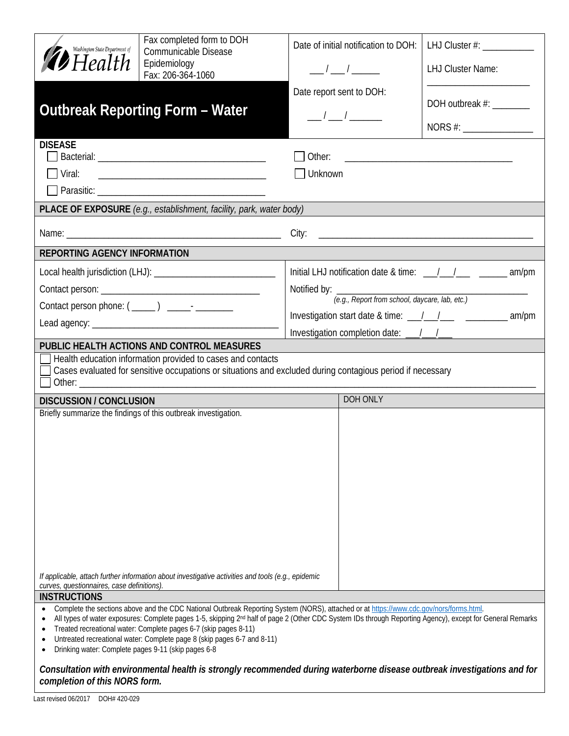| Washington State Department of<br>$\blacktriangleright$ Health<br><b>DISEASE</b>                | Fax completed form to DOH<br>Communicable Disease<br>Epidemiology<br>Fax: 206-364-1060<br><b>Outbreak Reporting Form - Water</b>                                                                                                                                                                                                                                                                                                                               |                        | Date of initial notification to DOH:<br>$\frac{1}{\sqrt{2}}$<br>Date report sent to DOH:<br>$\frac{1}{\sqrt{1-\frac{1}{2}}}$ | LHJ Cluster #: ______________<br><b>LHJ Cluster Name:</b><br>DOH outbreak #: ______ |  |  |
|-------------------------------------------------------------------------------------------------|----------------------------------------------------------------------------------------------------------------------------------------------------------------------------------------------------------------------------------------------------------------------------------------------------------------------------------------------------------------------------------------------------------------------------------------------------------------|------------------------|------------------------------------------------------------------------------------------------------------------------------|-------------------------------------------------------------------------------------|--|--|
| Viral:                                                                                          | PLACE OF EXPOSURE (e.g., establishment, facility, park, water body)                                                                                                                                                                                                                                                                                                                                                                                            | Unknown                |                                                                                                                              |                                                                                     |  |  |
|                                                                                                 |                                                                                                                                                                                                                                                                                                                                                                                                                                                                |                        |                                                                                                                              |                                                                                     |  |  |
| <b>REPORTING AGENCY INFORMATION</b>                                                             |                                                                                                                                                                                                                                                                                                                                                                                                                                                                |                        |                                                                                                                              |                                                                                     |  |  |
|                                                                                                 |                                                                                                                                                                                                                                                                                                                                                                                                                                                                | Notified by: _________ | (e.g., Report from school, daycare, lab, etc.)                                                                               | Initial LHJ notification date & time: __/__/___/_____ _______ am/pm                 |  |  |
|                                                                                                 |                                                                                                                                                                                                                                                                                                                                                                                                                                                                |                        |                                                                                                                              |                                                                                     |  |  |
|                                                                                                 | PUBLIC HEALTH ACTIONS AND CONTROL MEASURES<br>Health education information provided to cases and contacts<br>Cases evaluated for sensitive occupations or situations and excluded during contagious period if necessary                                                                                                                                                                                                                                        |                        |                                                                                                                              |                                                                                     |  |  |
| <b>DISCUSSION / CONCLUSION</b>                                                                  |                                                                                                                                                                                                                                                                                                                                                                                                                                                                |                        | DOH ONLY                                                                                                                     |                                                                                     |  |  |
| curves, questionnaires, case definitions).                                                      | Briefly summarize the findings of this outbreak investigation.<br>If applicable, attach further information about investigative activities and tools (e.g., epidemic                                                                                                                                                                                                                                                                                           |                        |                                                                                                                              |                                                                                     |  |  |
| <b>INSTRUCTIONS</b>                                                                             |                                                                                                                                                                                                                                                                                                                                                                                                                                                                |                        |                                                                                                                              |                                                                                     |  |  |
| $\bullet$<br>$\bullet$<br>$\bullet$<br>Drinking water: Complete pages 9-11 (skip pages 6-8<br>٠ | Complete the sections above and the CDC National Outbreak Reporting System (NORS), attached or at https://www.cdc.gov/nors/forms.html.<br>All types of water exposures: Complete pages 1-5, skipping 2 <sup>nd</sup> half of page 2 (Other CDC System IDs through Reporting Agency), except for General Remarks<br>Treated recreational water: Complete pages 6-7 (skip pages 8-11)<br>Untreated recreational water: Complete page 8 (skip pages 6-7 and 8-11) |                        |                                                                                                                              |                                                                                     |  |  |

## *Consultation with environmental health is strongly recommended during waterborne disease outbreak investigations and for completion of this NORS form.*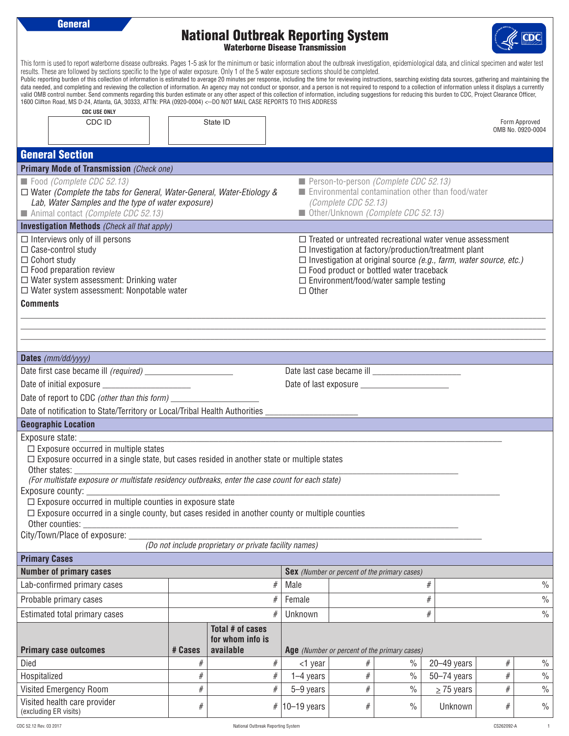**General** National Outbreak Reporting System Waterborne Disease Transmission This form is used to report waterborne disease outbreaks. Pages 1-5 ask for the minimum or basic information about the outbreak investigation, epidemiological data, and clinical specimen and water test results. These are followed by sections specific to the type of water exposure. Only 1 of the 5 water exposure sections should be completed. Public reporting burden of this collection of information is estimated to average 20 minutes per response, including the time for reviewing instructions, searching existing data sources, gathering and maintaining the data needed, and completing and reviewing the collection of information. An agency may not conduct or sponsor, and a person is not required to respond to a collection of information unless it displays a currently valid OMB control number. Send comments regarding this burden estimate or any other aspect of this collection of information, including suggestions for reducing this burden to CDC, Project Clearance Officer, 1600 Clifton Road, MS D-24, Atlanta, GA, 30333, ATTN: PRA (0920-0004) <--DO NOT MAIL CASE REPORTS TO THIS ADDRESS  **CDC USE ONLY** CDC ID Form Approved OMB No. 0920-0004 General Section **Primary Mode of Transmission** *(Check one)* ■ Food *(Complete CDC 52.13)* □ Water *(Complete the tabs for General, Water-General, Water-Etiology & Lab, Water Samples and the type of water exposure)*  ■ Animal contact *(Complete CDC 52.13)* ■ Person-to-person *(Complete CDC 52.13)* ■ Environmental contamination other than food/water *(Complete CDC 52.13)* ■ Other/Unknown *(Complete CDC 52.13)* **Investigation Methods** *(Check all that apply)*  $\square$  Interviews only of ill persons  $\square$  Case-control study  $\square$  Cohort study  $\square$  Food preparation review  $\square$  Water system assessment: Drinking water  $\square$  Water system assessment: Nonpotable water  $\square$  Treated or untreated recreational water venue assessment  $\square$  Investigation at factory/production/treatment plant ¨ Investigation at original source *(e.g., farm, water source, etc.)*  $\square$  Food product or bottled water traceback  $\square$  Environment/food/water sample testing □ Other **Comments** \_\_\_\_\_\_\_\_\_\_\_\_\_\_\_\_\_\_\_\_\_\_\_\_\_\_\_\_\_\_\_\_\_\_\_\_\_\_\_\_\_\_\_\_\_\_\_\_\_\_\_\_\_\_\_\_\_\_\_\_\_\_\_\_\_\_\_\_\_\_\_\_\_\_\_\_\_\_\_\_\_\_\_\_\_\_\_\_\_\_\_\_\_\_\_\_\_\_\_\_\_\_\_\_\_\_\_\_\_\_\_\_\_\_\_\_\_\_\_ \_\_\_\_\_\_\_\_\_\_\_\_\_\_\_\_\_\_\_\_\_\_\_\_\_\_\_\_\_\_\_\_\_\_\_\_\_\_\_\_\_\_\_\_\_\_\_\_\_\_\_\_\_\_\_\_\_\_\_\_\_\_\_\_\_\_\_\_\_\_\_\_\_\_\_\_\_\_\_\_\_\_\_\_\_\_\_\_\_\_\_\_\_\_\_\_\_\_\_\_\_\_\_\_\_\_\_\_\_\_\_\_\_\_\_\_\_\_\_ \_\_\_\_\_\_\_\_\_\_\_\_\_\_\_\_\_\_\_\_\_\_\_\_\_\_\_\_\_\_\_\_\_\_\_\_\_\_\_\_\_\_\_\_\_\_\_\_\_\_\_\_\_\_\_\_\_\_\_\_\_\_\_\_\_\_\_\_\_\_\_\_\_\_\_\_\_\_\_\_\_\_\_\_\_\_\_\_\_\_\_\_\_\_\_\_\_\_\_\_\_\_\_\_\_\_\_\_\_\_\_\_\_\_\_\_\_\_\_ **Dates** *(mm/dd/yyyy)* Date first case became ill *(required)* \_\_\_\_\_\_\_\_\_\_\_\_\_\_\_\_\_\_\_\_ Date last case became ill \_\_\_\_\_\_\_\_\_\_\_\_\_\_\_\_\_\_\_\_ Date of initial exposure exposure that the set of last exposure  $\Box$ Date of report to CDC (other than this form) \_\_\_\_\_\_\_\_\_\_\_\_\_\_\_\_\_\_\_\_\_\_\_\_\_\_\_\_\_\_\_\_\_\_\_ Date of notification to State/Territory or Local/Tribal Health Authorities **Geographic Location** Exposure state:  $\square$  Exposure occurred in multiple states  $\square$  Exposure occurred in a single state, but cases resided in another state or multiple states Other states: \_\_\_\_\_\_\_\_\_\_\_\_\_\_\_\_\_\_\_\_\_\_\_\_\_\_\_\_\_\_\_\_\_\_\_\_\_\_\_\_\_\_\_\_\_\_\_\_\_\_\_\_\_\_\_\_\_\_\_\_\_\_\_\_\_\_\_\_\_\_\_\_\_\_\_\_\_\_\_\_\_\_\_\_\_\_\_ *(For multistate exposure or multistate residency outbreaks, enter the case count for each state)* Exposure county:  $\square$  Exposure occurred in multiple counties in exposure state  $\Box$  Exposure occurred in a single county, but cases resided in another county or multiple counties Other counties: City/Town/Place of exposure: *(Do not include proprietary or private facility names)* **Primary Cases Number of primary cases Sex** *(Number or percent of the primary cases)* Lab-confirmed primary cases  $\begin{array}{ccc} & & \# & \mathsf{Male} \end{array}$  #  $\begin{array}{ccc} \mathsf{Male} & & \# \end{array}$   $\begin{array}{ccc} \mathsf{M} & \mathsf{MLE} & \mathsf{ML} \end{array}$ Probable primary cases  $\begin{array}{c|c}\n & \rightarrow & \mathbb{R} \setminus \mathsf{Female} & \mathsf{H} \\
\end{array}$ Estimated total primary cases  $\begin{array}{ccc} \hline \end{array}$   $\begin{array}{ccc} \hline \end{array}$   $\begin{array}{ccc} \hline \end{array}$   $\begin{array}{ccc} \hline \end{array}$   $\begin{array}{ccc} \hline \end{array}$   $\begin{array}{ccc} \hline \end{array}$   $\begin{array}{ccc} \hline \end{array}$   $\begin{array}{ccc} \hline \end{array}$   $\begin{array}{ccc} \hline \end{array}$   $\begin{array}{ccc} \hline \end{array}$   $\begin{array}{ccc} \hline$ **Primary case outcomes # Cases Total # of cases for whom info is available Age** *(Number or percent of the primary cases)* Died | # | # | + # | <1 year | # | % | 20–49 years | # | % Hospitalized | # | # | 1–4 years | # | % | 50–74 years | # | % Visited Emergency Room # # 5–9 years # % > 75 years # % Visited health care provider

visited realificate provider  $\#$   $\#$   $\frac{10-19 \text{ years}}{10-19 \text{ years}}$   $\frac{100}{10}$   $\frac{100}{10}$   $\frac{100}{10}$   $\frac{100}{10}$   $\frac{100}{10}$   $\frac{100}{10}$   $\frac{100}{10}$   $\frac{100}{10}$   $\frac{100}{10}$   $\frac{100}{10}$   $\frac{100}{10}$   $\frac{100}{10}$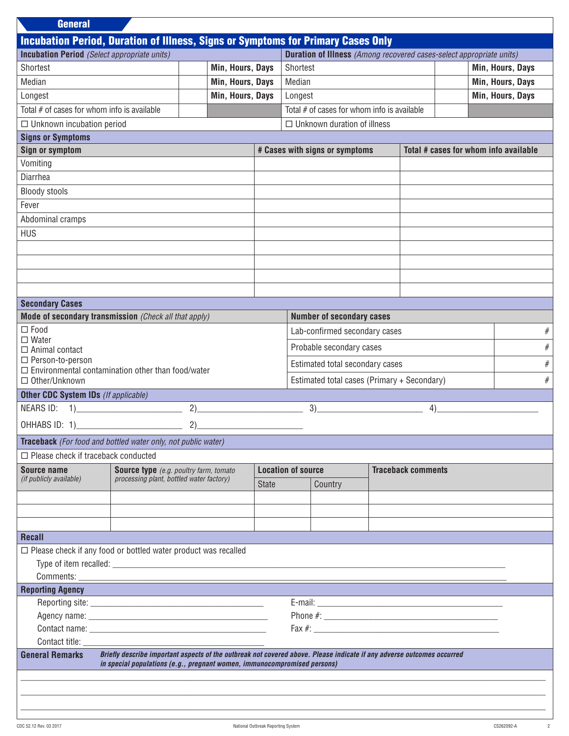| <b>General</b>                                                                          |                                                                                                                                                                                                    |                   |              |                                                                             |                                               |  |                           |                                       |                  |
|-----------------------------------------------------------------------------------------|----------------------------------------------------------------------------------------------------------------------------------------------------------------------------------------------------|-------------------|--------------|-----------------------------------------------------------------------------|-----------------------------------------------|--|---------------------------|---------------------------------------|------------------|
| <b>Incubation Period, Duration of Illness, Signs or Symptoms for Primary Cases Only</b> |                                                                                                                                                                                                    |                   |              |                                                                             |                                               |  |                           |                                       |                  |
| <b>Incubation Period</b> (Select appropriate units)                                     |                                                                                                                                                                                                    |                   |              | <b>Duration of Illness</b> (Among recovered cases-select appropriate units) |                                               |  |                           |                                       |                  |
| Shortest                                                                                |                                                                                                                                                                                                    | Min, Hours, Days  |              | Shortest                                                                    |                                               |  |                           |                                       | Min, Hours, Days |
| Median                                                                                  |                                                                                                                                                                                                    | Min, Hours, Days  |              | Median                                                                      |                                               |  |                           |                                       | Min, Hours, Days |
| Longest                                                                                 |                                                                                                                                                                                                    | Min, Hours, Days  |              | Longest                                                                     |                                               |  |                           |                                       | Min, Hours, Days |
| Total # of cases for whom info is available                                             |                                                                                                                                                                                                    |                   |              |                                                                             | Total $#$ of cases for whom info is available |  |                           |                                       |                  |
| $\Box$ Unknown incubation period                                                        |                                                                                                                                                                                                    |                   |              |                                                                             | $\Box$ Unknown duration of illness            |  |                           |                                       |                  |
| <b>Signs or Symptoms</b>                                                                |                                                                                                                                                                                                    |                   |              |                                                                             |                                               |  |                           |                                       |                  |
| <b>Sign or symptom</b>                                                                  |                                                                                                                                                                                                    |                   |              |                                                                             | # Cases with signs or symptoms                |  |                           | Total # cases for whom info available |                  |
| Vomiting                                                                                |                                                                                                                                                                                                    |                   |              |                                                                             |                                               |  |                           |                                       |                  |
| Diarrhea                                                                                |                                                                                                                                                                                                    |                   |              |                                                                             |                                               |  |                           |                                       |                  |
| <b>Bloody stools</b>                                                                    |                                                                                                                                                                                                    |                   |              |                                                                             |                                               |  |                           |                                       |                  |
| Fever                                                                                   |                                                                                                                                                                                                    |                   |              |                                                                             |                                               |  |                           |                                       |                  |
| Abdominal cramps                                                                        |                                                                                                                                                                                                    |                   |              |                                                                             |                                               |  |                           |                                       |                  |
| <b>HUS</b>                                                                              |                                                                                                                                                                                                    |                   |              |                                                                             |                                               |  |                           |                                       |                  |
|                                                                                         |                                                                                                                                                                                                    |                   |              |                                                                             |                                               |  |                           |                                       |                  |
|                                                                                         |                                                                                                                                                                                                    |                   |              |                                                                             |                                               |  |                           |                                       |                  |
|                                                                                         |                                                                                                                                                                                                    |                   |              |                                                                             |                                               |  |                           |                                       |                  |
|                                                                                         |                                                                                                                                                                                                    |                   |              |                                                                             |                                               |  |                           |                                       |                  |
| <b>Secondary Cases</b>                                                                  |                                                                                                                                                                                                    |                   |              |                                                                             |                                               |  |                           |                                       |                  |
| Mode of secondary transmission (Check all that apply)                                   |                                                                                                                                                                                                    |                   |              |                                                                             | <b>Number of secondary cases</b>              |  |                           |                                       |                  |
| $\Box$ Food                                                                             |                                                                                                                                                                                                    |                   |              |                                                                             | Lab-confirmed secondary cases                 |  |                           |                                       | $\#$             |
| $\square$ Water                                                                         |                                                                                                                                                                                                    |                   |              |                                                                             |                                               |  |                           |                                       |                  |
| $\Box$ Animal contact<br>□ Person-to-person                                             |                                                                                                                                                                                                    |                   |              |                                                                             | Probable secondary cases                      |  |                           |                                       | $\#$             |
| $\Box$ Environmental contamination other than food/water                                |                                                                                                                                                                                                    |                   |              |                                                                             | Estimated total secondary cases               |  |                           |                                       | $\#$             |
| $\Box$ Other/Unknown                                                                    |                                                                                                                                                                                                    |                   |              | Estimated total cases (Primary + Secondary)                                 |                                               |  | $\#$                      |                                       |                  |
| <b>Other CDC System IDs</b> (If applicable)                                             |                                                                                                                                                                                                    |                   |              |                                                                             |                                               |  |                           |                                       |                  |
| NEARS ID: 1)                                                                            |                                                                                                                                                                                                    | 2)                |              |                                                                             | 3)                                            |  | 4)                        |                                       |                  |
| OHHABS ID: 1)                                                                           |                                                                                                                                                                                                    | 2)                |              |                                                                             |                                               |  |                           |                                       |                  |
| <b>Traceback</b> (For food and bottled water only, not public water)                    |                                                                                                                                                                                                    |                   |              |                                                                             |                                               |  |                           |                                       |                  |
| $\Box$ Please check if traceback conducted                                              |                                                                                                                                                                                                    |                   |              |                                                                             |                                               |  |                           |                                       |                  |
| Source name                                                                             | <b>Source type</b> (e.g. poultry farm, tomato                                                                                                                                                      |                   |              | <b>Location of source</b>                                                   |                                               |  | <b>Traceback comments</b> |                                       |                  |
| (if publicly available)                                                                 | processing plant, bottled water factory)                                                                                                                                                           |                   | <b>State</b> | Country                                                                     |                                               |  |                           |                                       |                  |
|                                                                                         |                                                                                                                                                                                                    |                   |              |                                                                             |                                               |  |                           |                                       |                  |
|                                                                                         |                                                                                                                                                                                                    |                   |              |                                                                             |                                               |  |                           |                                       |                  |
|                                                                                         |                                                                                                                                                                                                    |                   |              |                                                                             |                                               |  |                           |                                       |                  |
| <b>Recall</b>                                                                           |                                                                                                                                                                                                    |                   |              |                                                                             |                                               |  |                           |                                       |                  |
| $\Box$ Please check if any food or bottled water product was recalled                   |                                                                                                                                                                                                    |                   |              |                                                                             |                                               |  |                           |                                       |                  |
|                                                                                         |                                                                                                                                                                                                    |                   |              |                                                                             |                                               |  |                           |                                       |                  |
|                                                                                         |                                                                                                                                                                                                    |                   |              |                                                                             |                                               |  |                           |                                       |                  |
| <b>Reporting Agency</b>                                                                 |                                                                                                                                                                                                    | <b>CONTRACTOR</b> |              |                                                                             |                                               |  |                           |                                       |                  |
|                                                                                         |                                                                                                                                                                                                    |                   |              |                                                                             |                                               |  |                           |                                       |                  |
|                                                                                         |                                                                                                                                                                                                    |                   |              |                                                                             |                                               |  |                           |                                       |                  |
|                                                                                         |                                                                                                                                                                                                    |                   |              |                                                                             |                                               |  |                           |                                       |                  |
| Contact title: <b>Example 2018</b>                                                      |                                                                                                                                                                                                    |                   |              |                                                                             |                                               |  |                           |                                       |                  |
| <b>General Remarks</b>                                                                  | Briefly describe important aspects of the outbreak not covered above. Please indicate if any adverse outcomes occurred<br>in special populations (e.g., pregnant women, immunocompromised persons) |                   |              |                                                                             |                                               |  |                           |                                       |                  |
|                                                                                         |                                                                                                                                                                                                    |                   |              |                                                                             |                                               |  |                           |                                       |                  |
|                                                                                         |                                                                                                                                                                                                    |                   |              |                                                                             |                                               |  |                           |                                       |                  |
|                                                                                         |                                                                                                                                                                                                    |                   |              |                                                                             |                                               |  |                           |                                       |                  |
|                                                                                         |                                                                                                                                                                                                    |                   |              |                                                                             |                                               |  |                           |                                       |                  |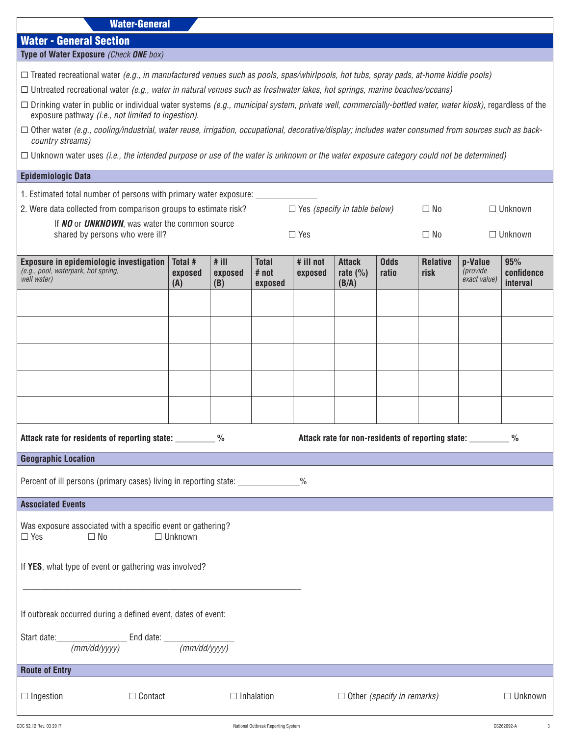| <b>Water-General</b> |
|----------------------|
|----------------------|

| <b>Water - General Section</b> |  |  |  |
|--------------------------------|--|--|--|
|--------------------------------|--|--|--|

| Type of Water Exposure (Check ONE box) |  |  |  |  |
|----------------------------------------|--|--|--|--|
|----------------------------------------|--|--|--|--|

¨ Treated recreational water *(e.g., in manufactured venues such as pools, spas/whirlpools, hot tubs, spray pads, at-home kiddie pools)*

¨ Untreated recreational water *(e.g., water in natural venues such as freshwater lakes, hot springs, marine beaches/oceans)*

- ¨ Drinking water in public or individual water systems *(e.g., municipal system, private well, commercially-bottled water, water kiosk)*, regardless of the exposure pathway *(i.e., not limited to ingestion)*.
- □ Other water (e.g., cooling/industrial, water reuse, irrigation, occupational, decorative/display; includes water consumed from sources such as back*country streams)*

¨ Unknown water uses *(i.e., the intended purpose or use of the water is unknown or the water exposure category could not be determined)*

## **Epidemiologic Data**

| Epidemiologic Data                                                                                                  |                           |                           |                                  |                      |                                        |                                   |                                                                |                                     |                               |
|---------------------------------------------------------------------------------------------------------------------|---------------------------|---------------------------|----------------------------------|----------------------|----------------------------------------|-----------------------------------|----------------------------------------------------------------|-------------------------------------|-------------------------------|
| 1. Estimated total number of persons with primary water exposure: ______________                                    |                           |                           |                                  |                      |                                        |                                   |                                                                |                                     |                               |
| 2. Were data collected from comparison groups to estimate risk?<br>$\Box$ Yes (specify in table below)<br>$\Box$ No |                           |                           |                                  |                      |                                        |                                   |                                                                |                                     | $\Box$ Unknown                |
| If NO or UNKNOWN, was water the common source<br>shared by persons who were ill?<br>$\Box$ Yes                      |                           |                           |                                  |                      |                                        |                                   | $\Box$ No                                                      |                                     | $\Box$ Unknown                |
| Exposure in epidemiologic investigation<br>(e.g., pool, waterpark, hot spring,<br>well water)                       | Total #<br>exposed<br>(A) | $#$ ill<br>exposed<br>(B) | <b>Total</b><br># not<br>exposed | # ill not<br>exposed | <b>Attack</b><br>rate $(\% )$<br>(B/A) | <b>Odds</b><br>ratio              | <b>Relative</b><br>risk                                        | p-Value<br>(provide<br>exact value) | 95%<br>confidence<br>interval |
|                                                                                                                     |                           |                           |                                  |                      |                                        |                                   |                                                                |                                     |                               |
|                                                                                                                     |                           |                           |                                  |                      |                                        |                                   |                                                                |                                     |                               |
|                                                                                                                     |                           |                           |                                  |                      |                                        |                                   |                                                                |                                     |                               |
|                                                                                                                     |                           |                           |                                  |                      |                                        |                                   |                                                                |                                     |                               |
|                                                                                                                     |                           |                           |                                  |                      |                                        |                                   |                                                                |                                     |                               |
| Attack rate for residents of reporting state: __________ %                                                          |                           |                           |                                  |                      |                                        |                                   | Attack rate for non-residents of reporting state: ___________% |                                     |                               |
| <b>Geographic Location</b>                                                                                          |                           |                           |                                  |                      |                                        |                                   |                                                                |                                     |                               |
| Percent of ill persons (primary cases) living in reporting state: ______________%                                   |                           |                           |                                  |                      |                                        |                                   |                                                                |                                     |                               |
| <b>Associated Events</b>                                                                                            |                           |                           |                                  |                      |                                        |                                   |                                                                |                                     |                               |
| Was exposure associated with a specific event or gathering?<br>$\Box$ Yes<br>$\Box$ No                              | $\Box$ Unknown            |                           |                                  |                      |                                        |                                   |                                                                |                                     |                               |
| If YES, what type of event or gathering was involved?                                                               |                           |                           |                                  |                      |                                        |                                   |                                                                |                                     |                               |
| If outbreak occurred during a defined event, dates of event:                                                        |                           |                           |                                  |                      |                                        |                                   |                                                                |                                     |                               |
| Start date: $\frac{[mm/dd/yyyy]}{[mm/dd/yyyy]}$ End date: $\frac{[mm/dd/yyyy]}{[mm/dd/yyyy]}$                       |                           |                           |                                  |                      |                                        |                                   |                                                                |                                     |                               |
| <b>Route of Entry</b>                                                                                               |                           |                           |                                  |                      |                                        |                                   |                                                                |                                     |                               |
| $\Box$ Ingestion<br>□ Contact                                                                                       |                           |                           | $\Box$ Inhalation                |                      |                                        | $\Box$ Other (specify in remarks) |                                                                |                                     | $\Box$ Unknown                |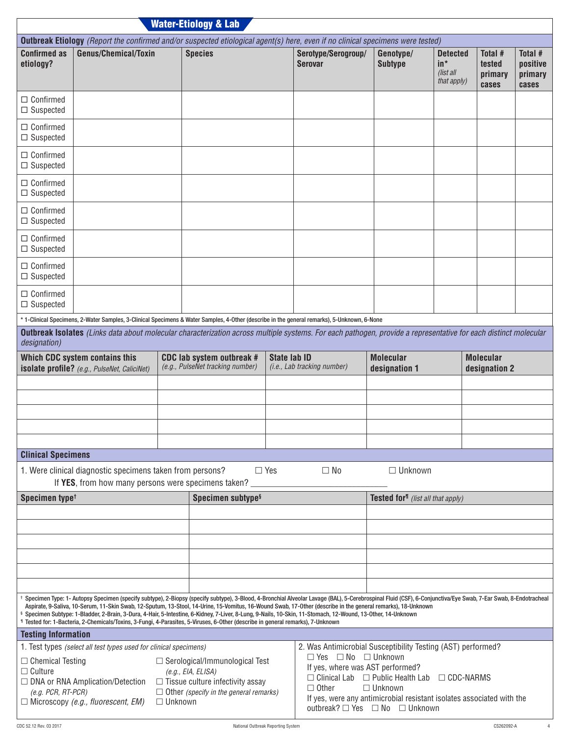| <b>Outbreak Etiology</b> (Report the confirmed and/or suspected etiological agent(s) here, even if no clinical specimens were tested)                                                  |                                                                                                                                                                                                                                                                                                                                                                                                                                                                                                                                             |                                                                                                                                                         |            |                                                                                                                                                                                                                                                                     |                                                |                                                      |                                       |                                         |
|----------------------------------------------------------------------------------------------------------------------------------------------------------------------------------------|---------------------------------------------------------------------------------------------------------------------------------------------------------------------------------------------------------------------------------------------------------------------------------------------------------------------------------------------------------------------------------------------------------------------------------------------------------------------------------------------------------------------------------------------|---------------------------------------------------------------------------------------------------------------------------------------------------------|------------|---------------------------------------------------------------------------------------------------------------------------------------------------------------------------------------------------------------------------------------------------------------------|------------------------------------------------|------------------------------------------------------|---------------------------------------|-----------------------------------------|
| <b>Confirmed as</b><br>Genus/Chemical/Toxin<br>etiology?                                                                                                                               |                                                                                                                                                                                                                                                                                                                                                                                                                                                                                                                                             | <b>Species</b>                                                                                                                                          |            | Serotype/Serogroup/<br><b>Serovar</b>                                                                                                                                                                                                                               | Genotype/<br><b>Subtype</b>                    | <b>Detected</b><br>$in*$<br>(list all<br>that apply) | Total #<br>tested<br>primary<br>cases | Total #<br>positive<br>primary<br>cases |
| $\Box$ Confirmed<br>$\Box$ Suspected                                                                                                                                                   |                                                                                                                                                                                                                                                                                                                                                                                                                                                                                                                                             |                                                                                                                                                         |            |                                                                                                                                                                                                                                                                     |                                                |                                                      |                                       |                                         |
| $\Box$ Confirmed<br>$\Box$ Suspected                                                                                                                                                   |                                                                                                                                                                                                                                                                                                                                                                                                                                                                                                                                             |                                                                                                                                                         |            |                                                                                                                                                                                                                                                                     |                                                |                                                      |                                       |                                         |
| $\Box$ Confirmed<br>$\Box$ Suspected                                                                                                                                                   |                                                                                                                                                                                                                                                                                                                                                                                                                                                                                                                                             |                                                                                                                                                         |            |                                                                                                                                                                                                                                                                     |                                                |                                                      |                                       |                                         |
| $\Box$ Confirmed<br>$\Box$ Suspected                                                                                                                                                   |                                                                                                                                                                                                                                                                                                                                                                                                                                                                                                                                             |                                                                                                                                                         |            |                                                                                                                                                                                                                                                                     |                                                |                                                      |                                       |                                         |
| $\Box$ Confirmed<br>$\Box$ Suspected                                                                                                                                                   |                                                                                                                                                                                                                                                                                                                                                                                                                                                                                                                                             |                                                                                                                                                         |            |                                                                                                                                                                                                                                                                     |                                                |                                                      |                                       |                                         |
| $\Box$ Confirmed<br>$\Box$ Suspected                                                                                                                                                   |                                                                                                                                                                                                                                                                                                                                                                                                                                                                                                                                             |                                                                                                                                                         |            |                                                                                                                                                                                                                                                                     |                                                |                                                      |                                       |                                         |
| $\Box$ Confirmed<br>$\Box$ Suspected                                                                                                                                                   |                                                                                                                                                                                                                                                                                                                                                                                                                                                                                                                                             |                                                                                                                                                         |            |                                                                                                                                                                                                                                                                     |                                                |                                                      |                                       |                                         |
| $\Box$ Confirmed<br>$\Box$ Suspected                                                                                                                                                   |                                                                                                                                                                                                                                                                                                                                                                                                                                                                                                                                             |                                                                                                                                                         |            |                                                                                                                                                                                                                                                                     |                                                |                                                      |                                       |                                         |
| * 1-Clinical Specimens, 2-Water Samples, 3-Clinical Specimens & Water Samples, 4-Other (describe in the general remarks), 5-Unknown, 6-None                                            |                                                                                                                                                                                                                                                                                                                                                                                                                                                                                                                                             |                                                                                                                                                         |            |                                                                                                                                                                                                                                                                     |                                                |                                                      |                                       |                                         |
| <b>Outbreak Isolates</b> (Links data about molecular characterization across multiple systems. For each pathogen, provide a representative for each distinct molecular<br>designation) |                                                                                                                                                                                                                                                                                                                                                                                                                                                                                                                                             |                                                                                                                                                         |            |                                                                                                                                                                                                                                                                     |                                                |                                                      |                                       |                                         |
| Which CDC system contains this<br>isolate profile? (e.g., PulseNet, CaliciNet)                                                                                                         |                                                                                                                                                                                                                                                                                                                                                                                                                                                                                                                                             | <b>State lab ID</b><br>CDC lab system outbreak #<br>(e.g., PulseNet tracking number)                                                                    |            | (i.e., Lab tracking number)                                                                                                                                                                                                                                         | <b>Molecular</b><br>designation 1              |                                                      | <b>Molecular</b><br>designation 2     |                                         |
|                                                                                                                                                                                        |                                                                                                                                                                                                                                                                                                                                                                                                                                                                                                                                             |                                                                                                                                                         |            |                                                                                                                                                                                                                                                                     |                                                |                                                      |                                       |                                         |
|                                                                                                                                                                                        |                                                                                                                                                                                                                                                                                                                                                                                                                                                                                                                                             |                                                                                                                                                         |            |                                                                                                                                                                                                                                                                     |                                                |                                                      |                                       |                                         |
|                                                                                                                                                                                        |                                                                                                                                                                                                                                                                                                                                                                                                                                                                                                                                             |                                                                                                                                                         |            |                                                                                                                                                                                                                                                                     |                                                |                                                      |                                       |                                         |
|                                                                                                                                                                                        |                                                                                                                                                                                                                                                                                                                                                                                                                                                                                                                                             |                                                                                                                                                         |            |                                                                                                                                                                                                                                                                     |                                                |                                                      |                                       |                                         |
|                                                                                                                                                                                        |                                                                                                                                                                                                                                                                                                                                                                                                                                                                                                                                             |                                                                                                                                                         |            |                                                                                                                                                                                                                                                                     |                                                |                                                      |                                       |                                         |
| <b>Clinical Specimens</b>                                                                                                                                                              |                                                                                                                                                                                                                                                                                                                                                                                                                                                                                                                                             |                                                                                                                                                         |            |                                                                                                                                                                                                                                                                     |                                                |                                                      |                                       |                                         |
| 1. Were clinical diagnostic specimens taken from persons?<br>If YES, from how many persons were specimens taken?                                                                       |                                                                                                                                                                                                                                                                                                                                                                                                                                                                                                                                             |                                                                                                                                                         | $\Box$ Yes | $\Box$ No                                                                                                                                                                                                                                                           | $\Box$ Unknown                                 |                                                      |                                       |                                         |
| Specimen type <sup>t</sup>                                                                                                                                                             |                                                                                                                                                                                                                                                                                                                                                                                                                                                                                                                                             | Specimen subtype <sup>§</sup>                                                                                                                           |            |                                                                                                                                                                                                                                                                     | Tested for <sup>11</sup> (list all that apply) |                                                      |                                       |                                         |
|                                                                                                                                                                                        |                                                                                                                                                                                                                                                                                                                                                                                                                                                                                                                                             |                                                                                                                                                         |            |                                                                                                                                                                                                                                                                     |                                                |                                                      |                                       |                                         |
|                                                                                                                                                                                        |                                                                                                                                                                                                                                                                                                                                                                                                                                                                                                                                             |                                                                                                                                                         |            |                                                                                                                                                                                                                                                                     |                                                |                                                      |                                       |                                         |
|                                                                                                                                                                                        |                                                                                                                                                                                                                                                                                                                                                                                                                                                                                                                                             |                                                                                                                                                         |            |                                                                                                                                                                                                                                                                     |                                                |                                                      |                                       |                                         |
|                                                                                                                                                                                        |                                                                                                                                                                                                                                                                                                                                                                                                                                                                                                                                             |                                                                                                                                                         |            |                                                                                                                                                                                                                                                                     |                                                |                                                      |                                       |                                         |
|                                                                                                                                                                                        |                                                                                                                                                                                                                                                                                                                                                                                                                                                                                                                                             |                                                                                                                                                         |            |                                                                                                                                                                                                                                                                     |                                                |                                                      |                                       |                                         |
| ¶ Tested for: 1-Bacteria, 2-Chemicals/Toxins, 3-Fungi, 4-Parasites, 5-Viruses, 6-Other (describe in general remarks), 7-Unknown                                                        | Specimen Type: 1- Autopsy Specimen (specify subtype), 2-Biopsy (specify subtype), 3-Blood, 4-Bronchial Alveolar Lavage (BAL), 5-Cerebrospinal Fluid (CSF), 6-Conjunctiva/Eye Swab, 7-Ear Swab, 8-Endotracheal<br>Aspirate, 9-Saliva, 10-Serum, 11-Skin Swab, 12-Sputum, 13-Stool, 14-Urine, 15-Vomitus, 16-Wound Swab, 17-Other (describe in the general remarks), 18-Unknown<br>Specimen Subtype: 1-Bladder, 2-Brain, 3-Dura, 4-Hair, 5-Intestine, 6-Kidney, 7-Liver, 8-Lung, 9-Nails, 10-Skin, 11-Stomach, 12-Wound, 13-Other, 14-Unknown |                                                                                                                                                         |            |                                                                                                                                                                                                                                                                     |                                                |                                                      |                                       |                                         |
| <b>Testing Information</b>                                                                                                                                                             |                                                                                                                                                                                                                                                                                                                                                                                                                                                                                                                                             |                                                                                                                                                         |            |                                                                                                                                                                                                                                                                     |                                                |                                                      |                                       |                                         |
| 1. Test types (select all test types used for clinical specimens)                                                                                                                      |                                                                                                                                                                                                                                                                                                                                                                                                                                                                                                                                             |                                                                                                                                                         |            | 2. Was Antimicrobial Susceptibility Testing (AST) performed?                                                                                                                                                                                                        |                                                |                                                      |                                       |                                         |
| $\Box$ Chemical Testing<br>$\Box$ Culture<br>□ DNA or RNA Amplication/Detection<br>$(e.g. PCR, RT-PCR)$<br>$\Box$ Microscopy (e.g., fluorescent, EM)                                   | $\Box$ Unknown                                                                                                                                                                                                                                                                                                                                                                                                                                                                                                                              | $\Box$ Serological/Immunological Test<br>(e.g., EIA, ELISA)<br>$\Box$ Tissue culture infectivity assay<br>$\Box$ Other (specify in the general remarks) |            | $\Box$ Yes $\Box$ No $\Box$ Unknown<br>If yes, where was AST performed?<br>$\Box$ Clinical Lab $\Box$ Public Health Lab $\Box$ CDC-NARMS<br>$\Box$ Other<br>If yes, were any antimicrobial resistant isolates associated with the<br>outbreak? □ Yes □ No □ Unknown | $\Box$ Unknown                                 |                                                      |                                       |                                         |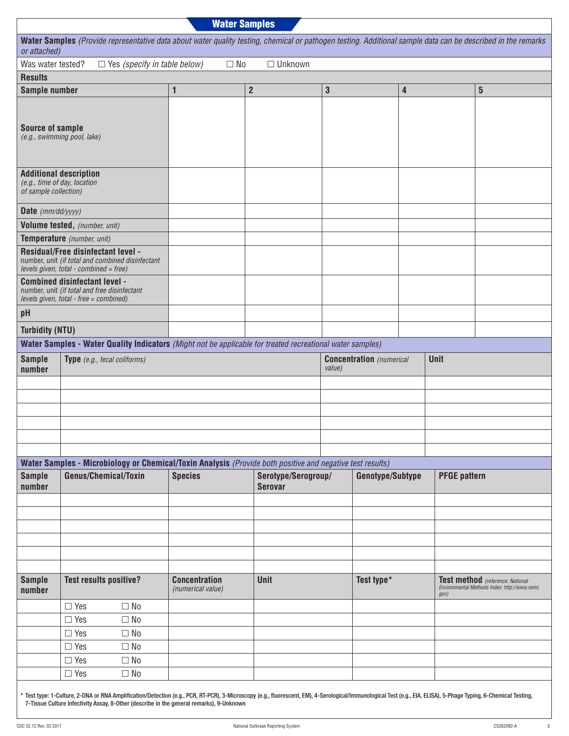| <b>Water Samples</b>                                  |                                                                                                                                                              |                                           |                     |              |                                 |   |                     |                                                                                   |
|-------------------------------------------------------|--------------------------------------------------------------------------------------------------------------------------------------------------------------|-------------------------------------------|---------------------|--------------|---------------------------------|---|---------------------|-----------------------------------------------------------------------------------|
| or attached)                                          | Water Samples (Provide representative data about water quality testing, chemical or pathogen testing. Additional sample data can be described in the remarks |                                           |                     |              |                                 |   |                     |                                                                                   |
| Was water tested?                                     | $\Box$ Yes (specify in table below)                                                                                                                          | $\Box$ No                                 | $\Box$ Unknown      |              |                                 |   |                     |                                                                                   |
| <b>Results</b>                                        |                                                                                                                                                              |                                           |                     |              |                                 |   |                     |                                                                                   |
| Sample number                                         |                                                                                                                                                              | 1                                         | $\overline{2}$      | $\mathbf{3}$ |                                 | 4 |                     | $\overline{\mathbf{5}}$                                                           |
| <b>Source of sample</b>                               | (e.g., swimming pool, lake)                                                                                                                                  |                                           |                     |              |                                 |   |                     |                                                                                   |
| (e.g., time of day, location<br>of sample collection) | <b>Additional description</b>                                                                                                                                |                                           |                     |              |                                 |   |                     |                                                                                   |
| Date (mm/dd/yyyy)                                     |                                                                                                                                                              |                                           |                     |              |                                 |   |                     |                                                                                   |
|                                                       | Volume tested, (number, unit)                                                                                                                                |                                           |                     |              |                                 |   |                     |                                                                                   |
|                                                       | Temperature (number, unit)                                                                                                                                   |                                           |                     |              |                                 |   |                     |                                                                                   |
|                                                       | <b>Residual/Free disinfectant level -</b><br>number, unit (if total and combined disinfectant<br>levels given, total - combined = free)                      |                                           |                     |              |                                 |   |                     |                                                                                   |
|                                                       | <b>Combined disinfectant level -</b><br>number, unit (if total and free disinfectant<br>levels given, total - free = combined)                               |                                           |                     |              |                                 |   |                     |                                                                                   |
| pH                                                    |                                                                                                                                                              |                                           |                     |              |                                 |   |                     |                                                                                   |
| <b>Turbidity (NTU)</b>                                |                                                                                                                                                              |                                           |                     |              |                                 |   |                     |                                                                                   |
|                                                       | Water Samples - Water Quality Indicators (Might not be applicable for treated recreational water samples)                                                    |                                           |                     |              |                                 |   |                     |                                                                                   |
| <b>Sample</b><br>number                               | Type (e.g., fecal coliforms)                                                                                                                                 |                                           |                     | value)       | <b>Concentration</b> (numerical |   | Unit                |                                                                                   |
|                                                       |                                                                                                                                                              |                                           |                     |              |                                 |   |                     |                                                                                   |
|                                                       |                                                                                                                                                              |                                           |                     |              |                                 |   |                     |                                                                                   |
|                                                       |                                                                                                                                                              |                                           |                     |              |                                 |   |                     |                                                                                   |
|                                                       |                                                                                                                                                              |                                           |                     |              |                                 |   |                     |                                                                                   |
|                                                       |                                                                                                                                                              |                                           |                     |              |                                 |   |                     |                                                                                   |
|                                                       | Water Samples - Microbiology or Chemical/Toxin Analysis (Provide both positive and negative test results)                                                    |                                           |                     |              |                                 |   |                     |                                                                                   |
| <b>Sample</b>                                         | Genus/Chemical/Toxin                                                                                                                                         | <b>Species</b>                            | Serotype/Serogroup/ |              | Genotype/Subtype                |   | <b>PFGE pattern</b> |                                                                                   |
| number                                                |                                                                                                                                                              |                                           | <b>Serovar</b>      |              |                                 |   |                     |                                                                                   |
|                                                       |                                                                                                                                                              |                                           |                     |              |                                 |   |                     |                                                                                   |
|                                                       |                                                                                                                                                              |                                           |                     |              |                                 |   |                     |                                                                                   |
|                                                       |                                                                                                                                                              |                                           |                     |              |                                 |   |                     |                                                                                   |
|                                                       |                                                                                                                                                              |                                           |                     |              |                                 |   |                     |                                                                                   |
|                                                       |                                                                                                                                                              |                                           |                     |              |                                 |   |                     |                                                                                   |
| <b>Sample</b><br>number                               | <b>Test results positive?</b>                                                                                                                                | <b>Concentration</b><br>(numerical value) | Unit                |              | Test type*                      |   | gov                 | Test method (reference: National<br>Environmental Methods Index: http://www.nemi. |
|                                                       | $\Box$ Yes<br>$\Box$ No                                                                                                                                      |                                           |                     |              |                                 |   |                     |                                                                                   |
|                                                       | $\Box$ No<br>$\Box$ Yes                                                                                                                                      |                                           |                     |              |                                 |   |                     |                                                                                   |
|                                                       | $\Box$ Yes<br>$\Box$ No                                                                                                                                      |                                           |                     |              |                                 |   |                     |                                                                                   |
|                                                       | $\Box$ Yes<br>$\Box$ No                                                                                                                                      |                                           |                     |              |                                 |   |                     |                                                                                   |
|                                                       | $\Box$ Yes<br>$\Box$ No                                                                                                                                      |                                           |                     |              |                                 |   |                     |                                                                                   |
|                                                       | $\Box$ Yes<br>$\Box$ No                                                                                                                                      |                                           |                     |              |                                 |   |                     |                                                                                   |
|                                                       |                                                                                                                                                              |                                           |                     |              |                                 |   |                     |                                                                                   |

\* Test type: 1-Culture, 2-DNA or RNA Amplification/Detection (e.g., PCR, RT-PCR), 3-Microscopy (e.g., fluorescent, EM), 4-Serological/Immunological Test (e.g., EIA, ELISA), 5-Phage Typing, 6-Chemical Testing, 7-Tissue Culture Infectivity Assay, 8-Other (describe in the general remarks), 9-Unknown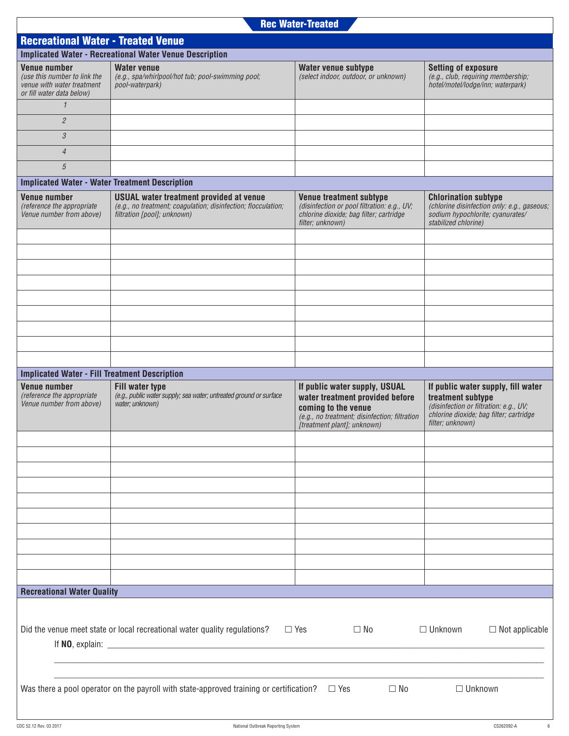| <b>Recreational Water - Treated Venue</b>                                                                                                          |                                                                                                                                                |                                                                                                                                                                         |                                                                                                                                                                  |  |  |  |  |
|----------------------------------------------------------------------------------------------------------------------------------------------------|------------------------------------------------------------------------------------------------------------------------------------------------|-------------------------------------------------------------------------------------------------------------------------------------------------------------------------|------------------------------------------------------------------------------------------------------------------------------------------------------------------|--|--|--|--|
|                                                                                                                                                    | <b>Implicated Water - Recreational Water Venue Description</b>                                                                                 |                                                                                                                                                                         |                                                                                                                                                                  |  |  |  |  |
| <b>Venue number</b><br>(use this number to link the<br>venue with water treatment<br>or fill water data below)                                     | <b>Water venue</b><br>(e.g., spa/whirlpool/hot tub; pool-swimming pool;<br>pool-waterpark)                                                     | Water venue subtype<br>(select indoor, outdoor, or unknown)                                                                                                             | <b>Setting of exposure</b><br>(e.g., club, requiring membership;<br>hotel/motel/lodge/inn; waterpark)                                                            |  |  |  |  |
| $\mathcal I$                                                                                                                                       |                                                                                                                                                |                                                                                                                                                                         |                                                                                                                                                                  |  |  |  |  |
| $\overline{c}$                                                                                                                                     |                                                                                                                                                |                                                                                                                                                                         |                                                                                                                                                                  |  |  |  |  |
| $\mathcal{S}_{\mathcal{S}}$                                                                                                                        |                                                                                                                                                |                                                                                                                                                                         |                                                                                                                                                                  |  |  |  |  |
| $\overline{4}$                                                                                                                                     |                                                                                                                                                |                                                                                                                                                                         |                                                                                                                                                                  |  |  |  |  |
| 5                                                                                                                                                  |                                                                                                                                                |                                                                                                                                                                         |                                                                                                                                                                  |  |  |  |  |
| <b>Implicated Water - Water Treatment Description</b>                                                                                              |                                                                                                                                                |                                                                                                                                                                         |                                                                                                                                                                  |  |  |  |  |
| <b>Venue number</b><br>(reference the appropriate<br>Venue number from above)                                                                      | <b>USUAL</b> water treatment provided at venue<br>(e.g., no treatment; coagulation; disinfection; flocculation;<br>filtration [pool]; unknown) | Venue treatment subtype<br>(disinfection or pool filtration: e.g., UV;<br>chlorine dioxide; bag filter; cartridge<br>filter; unknown)                                   | <b>Chlorination subtype</b><br>(chlorine disinfection only: e.g., gaseous;<br>sodium hypochlorite; cyanurates/<br>stabilized chlorine)                           |  |  |  |  |
|                                                                                                                                                    |                                                                                                                                                |                                                                                                                                                                         |                                                                                                                                                                  |  |  |  |  |
|                                                                                                                                                    |                                                                                                                                                |                                                                                                                                                                         |                                                                                                                                                                  |  |  |  |  |
|                                                                                                                                                    |                                                                                                                                                |                                                                                                                                                                         |                                                                                                                                                                  |  |  |  |  |
|                                                                                                                                                    |                                                                                                                                                |                                                                                                                                                                         |                                                                                                                                                                  |  |  |  |  |
|                                                                                                                                                    |                                                                                                                                                |                                                                                                                                                                         |                                                                                                                                                                  |  |  |  |  |
|                                                                                                                                                    |                                                                                                                                                |                                                                                                                                                                         |                                                                                                                                                                  |  |  |  |  |
|                                                                                                                                                    |                                                                                                                                                |                                                                                                                                                                         |                                                                                                                                                                  |  |  |  |  |
|                                                                                                                                                    |                                                                                                                                                |                                                                                                                                                                         |                                                                                                                                                                  |  |  |  |  |
|                                                                                                                                                    |                                                                                                                                                |                                                                                                                                                                         |                                                                                                                                                                  |  |  |  |  |
| <b>Implicated Water - Fill Treatment Description</b>                                                                                               |                                                                                                                                                |                                                                                                                                                                         |                                                                                                                                                                  |  |  |  |  |
| <b>Venue number</b><br>(reference the appropriate<br>Venue number from above)                                                                      | <b>Fill water type</b><br>(e.g., public water supply; sea water; untreated ground or surface<br>water; unknown)                                | If public water supply, USUAL<br>water treatment provided before<br>coming to the venue<br>(e.g., no treatment; disinfection; filtration<br>[treatment plant]; unknown) | If public water supply, fill water<br>treatment subtype<br>(disinfection or filtration: e.g., UV;<br>chlorine dioxide; bag filter; cartridge<br>filter; unknown) |  |  |  |  |
|                                                                                                                                                    |                                                                                                                                                |                                                                                                                                                                         |                                                                                                                                                                  |  |  |  |  |
|                                                                                                                                                    |                                                                                                                                                |                                                                                                                                                                         |                                                                                                                                                                  |  |  |  |  |
|                                                                                                                                                    |                                                                                                                                                |                                                                                                                                                                         |                                                                                                                                                                  |  |  |  |  |
|                                                                                                                                                    |                                                                                                                                                |                                                                                                                                                                         |                                                                                                                                                                  |  |  |  |  |
|                                                                                                                                                    |                                                                                                                                                |                                                                                                                                                                         |                                                                                                                                                                  |  |  |  |  |
|                                                                                                                                                    |                                                                                                                                                |                                                                                                                                                                         |                                                                                                                                                                  |  |  |  |  |
|                                                                                                                                                    |                                                                                                                                                |                                                                                                                                                                         |                                                                                                                                                                  |  |  |  |  |
|                                                                                                                                                    |                                                                                                                                                |                                                                                                                                                                         |                                                                                                                                                                  |  |  |  |  |
|                                                                                                                                                    |                                                                                                                                                |                                                                                                                                                                         |                                                                                                                                                                  |  |  |  |  |
|                                                                                                                                                    |                                                                                                                                                |                                                                                                                                                                         |                                                                                                                                                                  |  |  |  |  |
| <b>Recreational Water Quality</b>                                                                                                                  |                                                                                                                                                |                                                                                                                                                                         |                                                                                                                                                                  |  |  |  |  |
| Did the venue meet state or local recreational water quality regulations?<br>$\Box$ Not applicable<br>$\Box$ Yes<br>$\square$ No<br>$\Box$ Unknown |                                                                                                                                                |                                                                                                                                                                         |                                                                                                                                                                  |  |  |  |  |
|                                                                                                                                                    |                                                                                                                                                |                                                                                                                                                                         |                                                                                                                                                                  |  |  |  |  |
|                                                                                                                                                    |                                                                                                                                                |                                                                                                                                                                         |                                                                                                                                                                  |  |  |  |  |
| Was there a pool operator on the payroll with state-approved training or certification?<br>$\Box$ Unknown<br>$\Box$ No<br>$\Box$ Yes               |                                                                                                                                                |                                                                                                                                                                         |                                                                                                                                                                  |  |  |  |  |
|                                                                                                                                                    |                                                                                                                                                |                                                                                                                                                                         |                                                                                                                                                                  |  |  |  |  |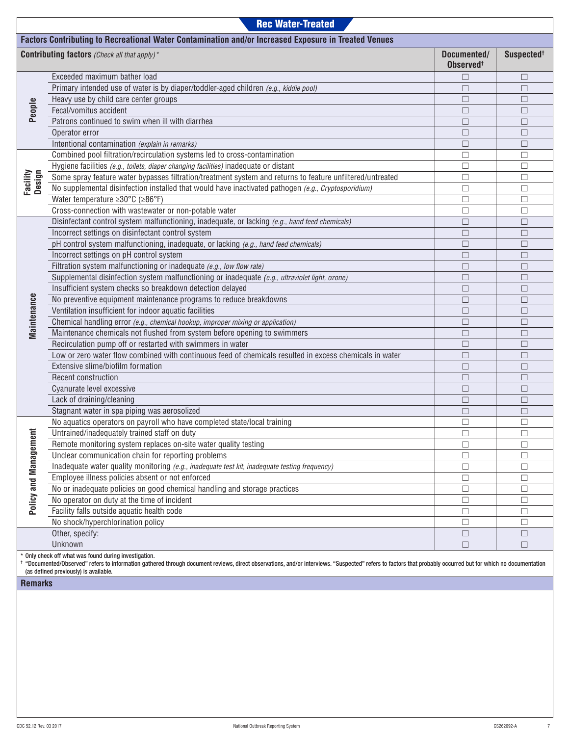|                                                                                                      | <b>Rec Water-Treated</b>                                                                                  |                                      |                        |  |  |  |  |  |  |
|------------------------------------------------------------------------------------------------------|-----------------------------------------------------------------------------------------------------------|--------------------------------------|------------------------|--|--|--|--|--|--|
| Factors Contributing to Recreational Water Contamination and/or Increased Exposure in Treated Venues |                                                                                                           |                                      |                        |  |  |  |  |  |  |
|                                                                                                      | <b>Contributing factors</b> (Check all that apply) <sup>*</sup>                                           | Documented/<br>Observed <sup>t</sup> | Suspected <sup>+</sup> |  |  |  |  |  |  |
|                                                                                                      | Exceeded maximum bather load                                                                              | $\Box$                               | $\Box$                 |  |  |  |  |  |  |
|                                                                                                      | Primary intended use of water is by diaper/toddler-aged children (e.g., kiddie pool)                      | $\Box$                               | $\Box$                 |  |  |  |  |  |  |
|                                                                                                      | Heavy use by child care center groups                                                                     | $\Box$                               | $\Box$                 |  |  |  |  |  |  |
| People                                                                                               | Fecal/vomitus accident                                                                                    | $\Box$                               | $\Box$                 |  |  |  |  |  |  |
|                                                                                                      | Patrons continued to swim when ill with diarrhea                                                          | $\Box$                               | $\Box$                 |  |  |  |  |  |  |
|                                                                                                      | Operator error                                                                                            | $\Box$                               | $\Box$                 |  |  |  |  |  |  |
|                                                                                                      | Intentional contamination (explain in remarks)                                                            | $\Box$                               | $\Box$                 |  |  |  |  |  |  |
|                                                                                                      | Combined pool filtration/recirculation systems led to cross-contamination                                 | $\Box$                               | $\Box$                 |  |  |  |  |  |  |
|                                                                                                      | Hygiene facilities (e.g., toilets, diaper changing facilities) inadequate or distant                      | $\Box$                               | $\Box$                 |  |  |  |  |  |  |
|                                                                                                      | Some spray feature water bypasses filtration/treatment system and returns to feature unfiltered/untreated | $\Box$                               | $\Box$                 |  |  |  |  |  |  |
| Facility<br>Design                                                                                   | No supplemental disinfection installed that would have inactivated pathogen (e.g., Cryptosporidium)       | $\Box$                               | □                      |  |  |  |  |  |  |
|                                                                                                      | Water temperature ≥30°C (≥86°F)                                                                           | $\Box$                               | $\Box$                 |  |  |  |  |  |  |
|                                                                                                      | Cross-connection with wastewater or non-potable water                                                     | $\Box$                               | □                      |  |  |  |  |  |  |
|                                                                                                      | Disinfectant control system malfunctioning, inadequate, or lacking (e.g., hand feed chemicals)            | $\Box$                               | $\Box$                 |  |  |  |  |  |  |
|                                                                                                      | Incorrect settings on disinfectant control system                                                         | $\Box$                               | $\Box$                 |  |  |  |  |  |  |
|                                                                                                      | pH control system malfunctioning, inadequate, or lacking (e.g., hand feed chemicals)                      | $\Box$                               | $\Box$                 |  |  |  |  |  |  |
|                                                                                                      | Incorrect settings on pH control system                                                                   | $\Box$                               | $\Box$                 |  |  |  |  |  |  |
|                                                                                                      | Filtration system malfunctioning or inadequate (e.g., low flow rate)                                      | $\Box$                               | □                      |  |  |  |  |  |  |
|                                                                                                      | Supplemental disinfection system malfunctioning or inadequate (e.g., ultraviolet light, ozone)            | $\Box$                               | □                      |  |  |  |  |  |  |
|                                                                                                      | Insufficient system checks so breakdown detection delayed                                                 | $\Box$                               | □                      |  |  |  |  |  |  |
| Maintenance                                                                                          | No preventive equipment maintenance programs to reduce breakdowns                                         | $\Box$                               | □                      |  |  |  |  |  |  |
|                                                                                                      | Ventilation insufficient for indoor aquatic facilities                                                    | $\Box$                               | □                      |  |  |  |  |  |  |
|                                                                                                      | Chemical handling error (e.g., chemical hookup, improper mixing or application)                           | $\Box$                               | $\Box$                 |  |  |  |  |  |  |
|                                                                                                      | Maintenance chemicals not flushed from system before opening to swimmers                                  | $\Box$                               | $\Box$                 |  |  |  |  |  |  |
|                                                                                                      | Recirculation pump off or restarted with swimmers in water                                                | $\Box$                               | $\Box$                 |  |  |  |  |  |  |
|                                                                                                      | Low or zero water flow combined with continuous feed of chemicals resulted in excess chemicals in water   | $\Box$                               | $\Box$                 |  |  |  |  |  |  |
|                                                                                                      | Extensive slime/biofilm formation                                                                         | $\Box$                               | $\Box$                 |  |  |  |  |  |  |
|                                                                                                      | Recent construction                                                                                       | $\Box$                               | $\Box$                 |  |  |  |  |  |  |
|                                                                                                      | Cyanurate level excessive                                                                                 | $\Box$                               | $\Box$                 |  |  |  |  |  |  |
|                                                                                                      | Lack of draining/cleaning                                                                                 | $\Box$                               | $\Box$                 |  |  |  |  |  |  |
|                                                                                                      | Stagnant water in spa piping was aerosolized                                                              | $\Box$                               | $\Box$                 |  |  |  |  |  |  |
|                                                                                                      | No aquatics operators on payroll who have completed state/local training                                  | $\Box$                               | $\Box$                 |  |  |  |  |  |  |
|                                                                                                      | Untrained/inadequately trained staff on duty                                                              | □                                    | ⊔                      |  |  |  |  |  |  |
|                                                                                                      | Remote monitoring system replaces on-site water quality testing                                           | $\Box$                               | $\Box$                 |  |  |  |  |  |  |
|                                                                                                      | Unclear communication chain for reporting problems                                                        | $\Box$                               | $\Box$                 |  |  |  |  |  |  |
|                                                                                                      | Inadequate water quality monitoring (e.g., inadequate test kit, inadequate testing frequency)             | $\Box$                               | $\Box$                 |  |  |  |  |  |  |
|                                                                                                      | Employee illness policies absent or not enforced                                                          | $\Box$                               | $\Box$                 |  |  |  |  |  |  |
|                                                                                                      | No or inadequate policies on good chemical handling and storage practices                                 | $\Box$                               | $\Box$                 |  |  |  |  |  |  |
| Policy and Management                                                                                | No operator on duty at the time of incident                                                               | $\Box$                               | $\Box$                 |  |  |  |  |  |  |
|                                                                                                      | Facility falls outside aquatic health code                                                                | $\Box$                               | $\Box$                 |  |  |  |  |  |  |
|                                                                                                      | No shock/hyperchlorination policy                                                                         | □                                    | $\Box$                 |  |  |  |  |  |  |
|                                                                                                      | Other, specify:<br>Unknown                                                                                | $\Box$                               | $\Box$                 |  |  |  |  |  |  |
|                                                                                                      | * Only check off what was found during investigation                                                      | $\Box$                               | $\Box$                 |  |  |  |  |  |  |

\* Only check off what was found during investigation.

† "Documented/Observed" refers to information gathered through document reviews, direct observations, and/or interviews. "Suspected" refers to factors that probably occurred but for which no documentation (as defined previously) is available.

**Remarks**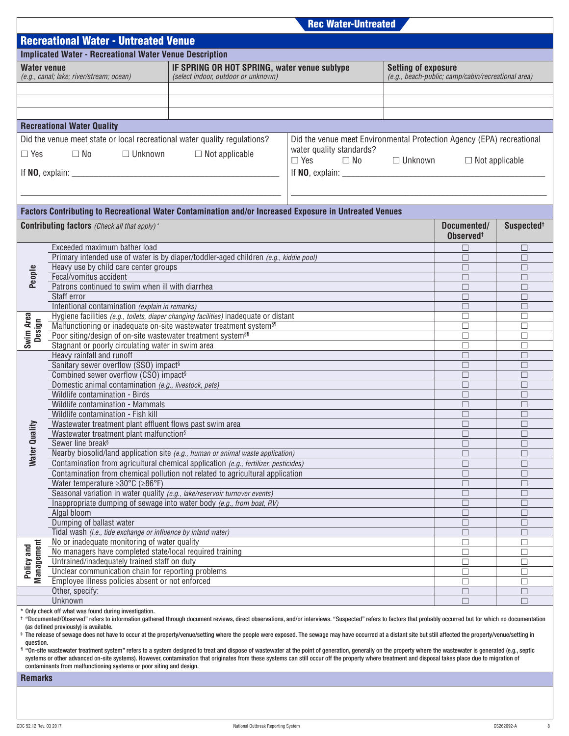|                     |                                                                                                                                                                                                                                                                                                                                                                                                                     |                                                                                      | <b>Rec Water-Untreated</b>                                            |                            |                                                    |                        |
|---------------------|---------------------------------------------------------------------------------------------------------------------------------------------------------------------------------------------------------------------------------------------------------------------------------------------------------------------------------------------------------------------------------------------------------------------|--------------------------------------------------------------------------------------|-----------------------------------------------------------------------|----------------------------|----------------------------------------------------|------------------------|
|                     | <b>Recreational Water - Untreated Venue</b>                                                                                                                                                                                                                                                                                                                                                                         |                                                                                      |                                                                       |                            |                                                    |                        |
|                     |                                                                                                                                                                                                                                                                                                                                                                                                                     |                                                                                      |                                                                       |                            |                                                    |                        |
|                     | <b>Implicated Water - Recreational Water Venue Description</b>                                                                                                                                                                                                                                                                                                                                                      |                                                                                      |                                                                       |                            |                                                    |                        |
| <b>Water venue</b>  |                                                                                                                                                                                                                                                                                                                                                                                                                     | IF SPRING OR HOT SPRING, water venue subtype                                         |                                                                       | <b>Setting of exposure</b> |                                                    |                        |
|                     | (e.g., canal; lake; river/stream; ocean)                                                                                                                                                                                                                                                                                                                                                                            | (select indoor, outdoor or unknown)                                                  |                                                                       |                            | (e.g., beach-public; camp/cabin/recreational area) |                        |
|                     |                                                                                                                                                                                                                                                                                                                                                                                                                     |                                                                                      |                                                                       |                            |                                                    |                        |
|                     |                                                                                                                                                                                                                                                                                                                                                                                                                     |                                                                                      |                                                                       |                            |                                                    |                        |
|                     |                                                                                                                                                                                                                                                                                                                                                                                                                     |                                                                                      |                                                                       |                            |                                                    |                        |
|                     | <b>Recreational Water Quality</b>                                                                                                                                                                                                                                                                                                                                                                                   |                                                                                      |                                                                       |                            |                                                    |                        |
|                     |                                                                                                                                                                                                                                                                                                                                                                                                                     |                                                                                      |                                                                       |                            |                                                    |                        |
|                     | Did the venue meet state or local recreational water quality regulations?                                                                                                                                                                                                                                                                                                                                           |                                                                                      | Did the venue meet Environmental Protection Agency (EPA) recreational |                            |                                                    |                        |
| $\Box$ Yes          | $\square$ No<br>$\Box$ Unknown                                                                                                                                                                                                                                                                                                                                                                                      | $\Box$ Not applicable                                                                | water quality standards?<br>$\Box$ Yes $\Box$ No                      | □ Unknown                  |                                                    |                        |
|                     |                                                                                                                                                                                                                                                                                                                                                                                                                     |                                                                                      |                                                                       |                            | $\Box$ Not applicable                              |                        |
|                     |                                                                                                                                                                                                                                                                                                                                                                                                                     |                                                                                      |                                                                       |                            |                                                    |                        |
|                     |                                                                                                                                                                                                                                                                                                                                                                                                                     |                                                                                      |                                                                       |                            |                                                    |                        |
|                     |                                                                                                                                                                                                                                                                                                                                                                                                                     |                                                                                      |                                                                       |                            |                                                    |                        |
|                     | Factors Contributing to Recreational Water Contamination and/or Increased Exposure in Untreated Venues                                                                                                                                                                                                                                                                                                              |                                                                                      |                                                                       |                            |                                                    |                        |
|                     |                                                                                                                                                                                                                                                                                                                                                                                                                     |                                                                                      |                                                                       |                            |                                                    |                        |
|                     | <b>Contributing factors</b> (Check all that apply) <sup>*</sup>                                                                                                                                                                                                                                                                                                                                                     |                                                                                      |                                                                       |                            | Documented/                                        | Suspected <sup>+</sup> |
|                     |                                                                                                                                                                                                                                                                                                                                                                                                                     |                                                                                      |                                                                       |                            | Observed <sup>+</sup>                              |                        |
|                     | Exceeded maximum bather load                                                                                                                                                                                                                                                                                                                                                                                        |                                                                                      |                                                                       |                            | $\Box$                                             | $\Box$                 |
|                     |                                                                                                                                                                                                                                                                                                                                                                                                                     | Primary intended use of water is by diaper/toddler-aged children (e.g., kiddie pool) |                                                                       |                            | □                                                  | $\Box$                 |
|                     | Heavy use by child care center groups<br>Fecal/vomitus accident                                                                                                                                                                                                                                                                                                                                                     |                                                                                      |                                                                       |                            | $\Box$                                             | □                      |
| People              | Patrons continued to swim when ill with diarrhea                                                                                                                                                                                                                                                                                                                                                                    |                                                                                      |                                                                       |                            | □<br>$\Box$                                        | $\Box$<br>$\Box$       |
|                     | Staff error                                                                                                                                                                                                                                                                                                                                                                                                         |                                                                                      |                                                                       |                            | П                                                  | $\Box$                 |
|                     | Intentional contamination (explain in remarks)                                                                                                                                                                                                                                                                                                                                                                      |                                                                                      |                                                                       |                            | $\Box$                                             | □                      |
|                     |                                                                                                                                                                                                                                                                                                                                                                                                                     | Hygiene facilities (e.g., toilets, diaper changing facilities) inadequate or distant |                                                                       |                            | $\Box$                                             | $\Box$                 |
| Swim Area<br>Design | Malfunctioning or inadequate on-site wastewater treatment system <sup>§1</sup>                                                                                                                                                                                                                                                                                                                                      |                                                                                      |                                                                       |                            | $\Box$                                             | $\Box$                 |
|                     | Poor siting/design of on-site wastewater treatment system <sup>§1</sup>                                                                                                                                                                                                                                                                                                                                             |                                                                                      |                                                                       |                            | $\Box$                                             | $\Box$                 |
|                     | Stagnant or poorly circulating water in swim area                                                                                                                                                                                                                                                                                                                                                                   |                                                                                      |                                                                       |                            | $\Box$                                             | $\Box$                 |
|                     | Heavy rainfall and runoff                                                                                                                                                                                                                                                                                                                                                                                           |                                                                                      |                                                                       |                            | $\Box$                                             | $\Box$                 |
|                     | Sanitary sewer overflow (SSO) impact <sup>§</sup>                                                                                                                                                                                                                                                                                                                                                                   |                                                                                      |                                                                       |                            | $\Box$                                             | $\Box$                 |
|                     | Combined sewer overflow (CSO) impact <sup>§</sup>                                                                                                                                                                                                                                                                                                                                                                   |                                                                                      |                                                                       |                            | $\Box$                                             | $\Box$                 |
|                     | Domestic animal contamination (e.g., livestock, pets)                                                                                                                                                                                                                                                                                                                                                               |                                                                                      |                                                                       |                            | $\Box$                                             | $\Box$                 |
|                     | Wildlife contamination - Birds<br>Wildlife contamination - Mammals                                                                                                                                                                                                                                                                                                                                                  |                                                                                      |                                                                       |                            | $\Box$                                             | $\Box$                 |
|                     | Wildlife contamination - Fish kill                                                                                                                                                                                                                                                                                                                                                                                  |                                                                                      |                                                                       |                            | $\Box$<br>П                                        | $\Box$<br>П            |
|                     | Wastewater treatment plant effluent flows past swim area                                                                                                                                                                                                                                                                                                                                                            |                                                                                      |                                                                       |                            | □                                                  | □                      |
| ville               | Wastewater treatment plant malfunction <sup>§</sup>                                                                                                                                                                                                                                                                                                                                                                 |                                                                                      |                                                                       |                            | $\Box$                                             | $\Box$                 |
|                     | Sewer line break <sup>§</sup>                                                                                                                                                                                                                                                                                                                                                                                       |                                                                                      |                                                                       |                            | $\Box$                                             | $\Box$                 |
| Water Qu            | Nearby biosolid/land application site (e.g., human or animal waste application)                                                                                                                                                                                                                                                                                                                                     |                                                                                      |                                                                       |                            | □                                                  | П                      |
|                     |                                                                                                                                                                                                                                                                                                                                                                                                                     | Contamination from agricultural chemical application (e.g., fertilizer, pesticides)  |                                                                       |                            | $\Box$                                             | $\Box$                 |
|                     |                                                                                                                                                                                                                                                                                                                                                                                                                     | Contamination from chemical pollution not related to agricultural application        |                                                                       |                            | $\Box$                                             | $\Box$                 |
|                     | Water temperature $\geq 30^{\circ}$ C ( $\geq 86^{\circ}$ F)                                                                                                                                                                                                                                                                                                                                                        |                                                                                      |                                                                       |                            | □                                                  | □                      |
|                     | Seasonal variation in water quality (e.g., lake/reservoir turnover events)                                                                                                                                                                                                                                                                                                                                          |                                                                                      |                                                                       |                            | □                                                  | $\Box$                 |
|                     | Inappropriate dumping of sewage into water body (e.g., from boat, RV)                                                                                                                                                                                                                                                                                                                                               |                                                                                      |                                                                       |                            | □                                                  | $\Box$                 |
|                     | Algal bloom                                                                                                                                                                                                                                                                                                                                                                                                         |                                                                                      |                                                                       |                            | $\Box$                                             | □                      |
|                     | Dumping of ballast water                                                                                                                                                                                                                                                                                                                                                                                            |                                                                                      |                                                                       |                            | □                                                  | $\Box$                 |
|                     | Tidal wash (i.e., tide exchange or influence by inland water)<br>No or inadequate monitoring of water quality                                                                                                                                                                                                                                                                                                       |                                                                                      |                                                                       |                            | $\Box$<br>□                                        | $\Box$<br>$\Box$       |
| Management          | No managers have completed state/local required training                                                                                                                                                                                                                                                                                                                                                            |                                                                                      |                                                                       |                            | $\Box$                                             | □                      |
| Policy and          | Untrained/inadequately trained staff on duty                                                                                                                                                                                                                                                                                                                                                                        |                                                                                      |                                                                       |                            | $\Box$                                             | $\Box$                 |
|                     | Unclear communication chain for reporting problems                                                                                                                                                                                                                                                                                                                                                                  |                                                                                      |                                                                       |                            | $\Box$                                             | $\Box$                 |
|                     | Employee illness policies absent or not enforced                                                                                                                                                                                                                                                                                                                                                                    |                                                                                      |                                                                       |                            | □                                                  | $\Box$                 |
|                     | Other, specify:                                                                                                                                                                                                                                                                                                                                                                                                     |                                                                                      |                                                                       |                            | $\Box$                                             | $\Box$                 |
|                     | Unknown                                                                                                                                                                                                                                                                                                                                                                                                             |                                                                                      |                                                                       |                            | $\Box$                                             | П                      |
|                     | * Only check off what was found during investigation.                                                                                                                                                                                                                                                                                                                                                               |                                                                                      |                                                                       |                            |                                                    |                        |
|                     | thocumented/Observed" refers to information gathered through document reviews, direct observations, and/or interviews. "Suspected" refers to factors that probably occurred but for which no documentation وto a curred but fo                                                                                                                                                                                      |                                                                                      |                                                                       |                            |                                                    |                        |
|                     | (as defined previously) is available.<br>§ The release of sewage does not have to occur at the property/venue/setting where the people were exposed. The sewage may have occurred at a distant site but still affected the property/venue/setting in                                                                                                                                                                |                                                                                      |                                                                       |                            |                                                    |                        |
| question.           |                                                                                                                                                                                                                                                                                                                                                                                                                     |                                                                                      |                                                                       |                            |                                                    |                        |
|                     | 1 "On-site wastewater treatment system" refers to a system designed to treat and dispose of wastewater at the point of generation, generally on the property where the wastewater is generated (e.g., septic<br>systems or other advanced on-site systems). However, contamination that originates from these systems can still occur off the property where treatment and disposal takes place due to migration of |                                                                                      |                                                                       |                            |                                                    |                        |
|                     | contaminants from malfunctioning systems or poor siting and design.                                                                                                                                                                                                                                                                                                                                                 |                                                                                      |                                                                       |                            |                                                    |                        |
| <b>Remarks</b>      |                                                                                                                                                                                                                                                                                                                                                                                                                     |                                                                                      |                                                                       |                            |                                                    |                        |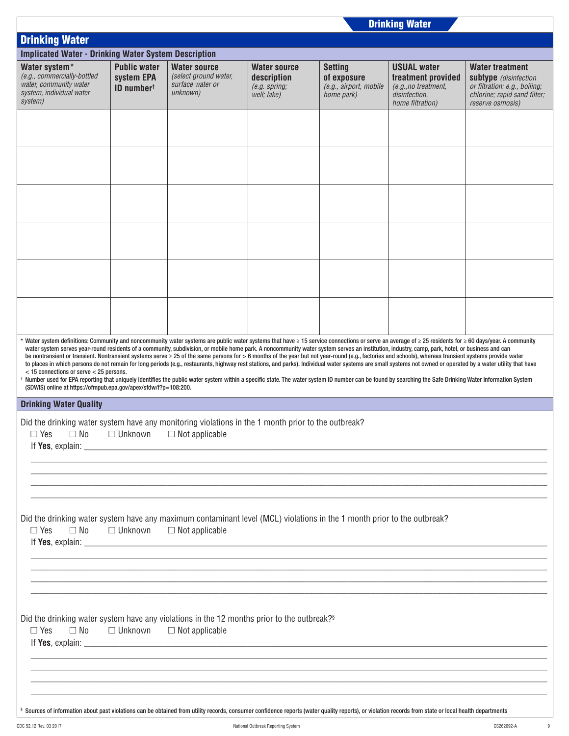| <b>Drinking Water</b>                                                                                                                                                                                                                                                                                                                                                                                                                                                                                                                                                                                                                                                                                                                                                                                                                                                                                                                                                                                                                                                                                                                                               |                                                             |                                                                                                                                                                                                                                      |                                                                      |                                                                       |                                                                                                       |                                                                                                                                      |  |  |  |  |
|---------------------------------------------------------------------------------------------------------------------------------------------------------------------------------------------------------------------------------------------------------------------------------------------------------------------------------------------------------------------------------------------------------------------------------------------------------------------------------------------------------------------------------------------------------------------------------------------------------------------------------------------------------------------------------------------------------------------------------------------------------------------------------------------------------------------------------------------------------------------------------------------------------------------------------------------------------------------------------------------------------------------------------------------------------------------------------------------------------------------------------------------------------------------|-------------------------------------------------------------|--------------------------------------------------------------------------------------------------------------------------------------------------------------------------------------------------------------------------------------|----------------------------------------------------------------------|-----------------------------------------------------------------------|-------------------------------------------------------------------------------------------------------|--------------------------------------------------------------------------------------------------------------------------------------|--|--|--|--|
| <b>Drinking Water</b>                                                                                                                                                                                                                                                                                                                                                                                                                                                                                                                                                                                                                                                                                                                                                                                                                                                                                                                                                                                                                                                                                                                                               |                                                             |                                                                                                                                                                                                                                      |                                                                      |                                                                       |                                                                                                       |                                                                                                                                      |  |  |  |  |
| <b>Implicated Water - Drinking Water System Description</b>                                                                                                                                                                                                                                                                                                                                                                                                                                                                                                                                                                                                                                                                                                                                                                                                                                                                                                                                                                                                                                                                                                         |                                                             |                                                                                                                                                                                                                                      |                                                                      |                                                                       |                                                                                                       |                                                                                                                                      |  |  |  |  |
| Water system*<br>(e.g., commercially-bottled<br>water, community water<br>system, individual water<br>system)                                                                                                                                                                                                                                                                                                                                                                                                                                                                                                                                                                                                                                                                                                                                                                                                                                                                                                                                                                                                                                                       | <b>Public water</b><br>system EPA<br>ID number <sup>t</sup> | <b>Water source</b><br>(select ground water,<br>surface water or<br>unknown)                                                                                                                                                         | <b>Water source</b><br>description<br>$(e.g.$ spring;<br>well; lake) | <b>Setting</b><br>of exposure<br>(e.g., airport, mobile<br>home park) | <b>USUAL water</b><br>treatment provided<br>(e.g., no treatment,<br>disinfection,<br>home filtration) | <b>Water treatment</b><br>subtype (disinfection<br>or filtration: e.g., boiling;<br>chlorine; rapid sand filter;<br>reserve osmosis) |  |  |  |  |
|                                                                                                                                                                                                                                                                                                                                                                                                                                                                                                                                                                                                                                                                                                                                                                                                                                                                                                                                                                                                                                                                                                                                                                     |                                                             |                                                                                                                                                                                                                                      |                                                                      |                                                                       |                                                                                                       |                                                                                                                                      |  |  |  |  |
|                                                                                                                                                                                                                                                                                                                                                                                                                                                                                                                                                                                                                                                                                                                                                                                                                                                                                                                                                                                                                                                                                                                                                                     |                                                             |                                                                                                                                                                                                                                      |                                                                      |                                                                       |                                                                                                       |                                                                                                                                      |  |  |  |  |
|                                                                                                                                                                                                                                                                                                                                                                                                                                                                                                                                                                                                                                                                                                                                                                                                                                                                                                                                                                                                                                                                                                                                                                     |                                                             |                                                                                                                                                                                                                                      |                                                                      |                                                                       |                                                                                                       |                                                                                                                                      |  |  |  |  |
|                                                                                                                                                                                                                                                                                                                                                                                                                                                                                                                                                                                                                                                                                                                                                                                                                                                                                                                                                                                                                                                                                                                                                                     |                                                             |                                                                                                                                                                                                                                      |                                                                      |                                                                       |                                                                                                       |                                                                                                                                      |  |  |  |  |
|                                                                                                                                                                                                                                                                                                                                                                                                                                                                                                                                                                                                                                                                                                                                                                                                                                                                                                                                                                                                                                                                                                                                                                     |                                                             |                                                                                                                                                                                                                                      |                                                                      |                                                                       |                                                                                                       |                                                                                                                                      |  |  |  |  |
|                                                                                                                                                                                                                                                                                                                                                                                                                                                                                                                                                                                                                                                                                                                                                                                                                                                                                                                                                                                                                                                                                                                                                                     |                                                             |                                                                                                                                                                                                                                      |                                                                      |                                                                       |                                                                                                       |                                                                                                                                      |  |  |  |  |
| * Water system definitions: Community and noncommunity water systems are public water systems that have ≥ 15 service connections or serve an average of ≥ 25 residents for ≥ 60 days/year. A community<br>water system serves year-round residents of a community, subdivision, or mobile home park. A noncommunity water system serves an institution, industry, camp, park, hotel, or business and can<br>be nontransient or transient. Nontransient systems serve ≥ 25 of the same persons for > 6 months of the year but not year-round (e.g., factories and schools), whereas transient systems provide water<br>to places in which persons do not remain for long periods (e.g., restaurants, highway rest stations, and parks). Individual water systems are small systems not owned or operated by a water utility that have<br>$<$ 15 connections or serve $<$ 25 persons.<br>t Number used for EPA reporting that uniquely identifies the public water system within a specific state. The water system ID number can be found by searching the Safe Drinking Water Information System<br>(SDWIS) online at https://ofmpub.epa.gov/apex/sfdw/f?p=108:200. |                                                             |                                                                                                                                                                                                                                      |                                                                      |                                                                       |                                                                                                       |                                                                                                                                      |  |  |  |  |
| <b>Drinking Water Quality</b>                                                                                                                                                                                                                                                                                                                                                                                                                                                                                                                                                                                                                                                                                                                                                                                                                                                                                                                                                                                                                                                                                                                                       |                                                             |                                                                                                                                                                                                                                      |                                                                      |                                                                       |                                                                                                       |                                                                                                                                      |  |  |  |  |
| Did the drinking water system have any monitoring violations in the 1 month prior to the outbreak?<br>$\Box$ Yes $\Box$ No $\Box$ Unknown $\Box$ Not applicable                                                                                                                                                                                                                                                                                                                                                                                                                                                                                                                                                                                                                                                                                                                                                                                                                                                                                                                                                                                                     |                                                             | If Yes, explain: <u>the same and the same and the same and the same and the same and the same and the same and the same and the same and the same and the same and the same and the same and the same and the same and the same </u> |                                                                      |                                                                       |                                                                                                       |                                                                                                                                      |  |  |  |  |
|                                                                                                                                                                                                                                                                                                                                                                                                                                                                                                                                                                                                                                                                                                                                                                                                                                                                                                                                                                                                                                                                                                                                                                     |                                                             |                                                                                                                                                                                                                                      |                                                                      |                                                                       |                                                                                                       |                                                                                                                                      |  |  |  |  |
| Did the drinking water system have any maximum contaminant level (MCL) violations in the 1 month prior to the outbreak?<br>$\Box$ Yes<br>$\square$ No $\square$ Unknown                                                                                                                                                                                                                                                                                                                                                                                                                                                                                                                                                                                                                                                                                                                                                                                                                                                                                                                                                                                             |                                                             | $\Box$ Not applicable                                                                                                                                                                                                                |                                                                      |                                                                       |                                                                                                       |                                                                                                                                      |  |  |  |  |
|                                                                                                                                                                                                                                                                                                                                                                                                                                                                                                                                                                                                                                                                                                                                                                                                                                                                                                                                                                                                                                                                                                                                                                     |                                                             |                                                                                                                                                                                                                                      |                                                                      |                                                                       |                                                                                                       |                                                                                                                                      |  |  |  |  |
| Did the drinking water system have any violations in the 12 months prior to the outbreak? <sup>§</sup><br>$\Box$ Yes                                                                                                                                                                                                                                                                                                                                                                                                                                                                                                                                                                                                                                                                                                                                                                                                                                                                                                                                                                                                                                                |                                                             | $\Box$ No $\Box$ Unknown $\Box$ Not applicable                                                                                                                                                                                       |                                                                      |                                                                       |                                                                                                       |                                                                                                                                      |  |  |  |  |
|                                                                                                                                                                                                                                                                                                                                                                                                                                                                                                                                                                                                                                                                                                                                                                                                                                                                                                                                                                                                                                                                                                                                                                     |                                                             |                                                                                                                                                                                                                                      |                                                                      |                                                                       |                                                                                                       |                                                                                                                                      |  |  |  |  |
| § Sources of information about past violations can be obtained from utility records, consumer confidence reports (water quality reports), or violation records from state or local health departments                                                                                                                                                                                                                                                                                                                                                                                                                                                                                                                                                                                                                                                                                                                                                                                                                                                                                                                                                               |                                                             |                                                                                                                                                                                                                                      |                                                                      |                                                                       |                                                                                                       |                                                                                                                                      |  |  |  |  |

 $\overline{\phantom{a}}$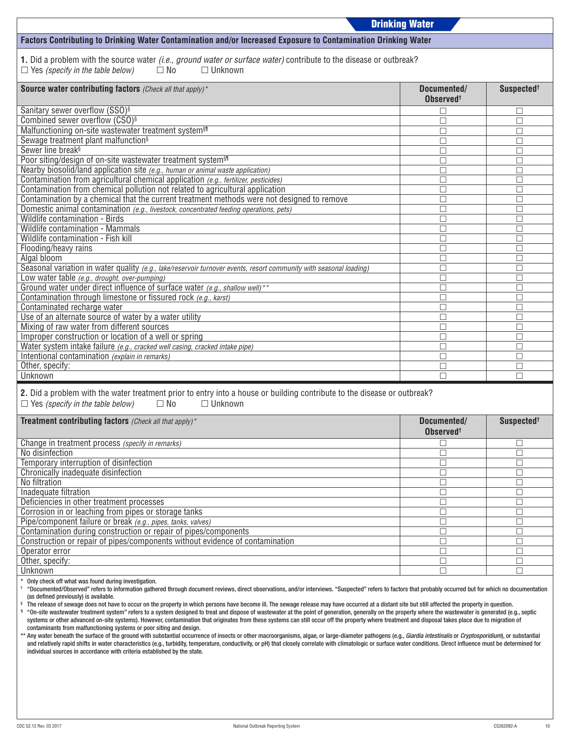|                                                                                                                                                                                                                                                                                                                                                                                                                                                                                                                                                                                                                                                                                                                                                                                                                                                                                                                                                                                                                                                                                                                                                                                   | <b>Drinking Water</b>                |                        |  |  |  |  |
|-----------------------------------------------------------------------------------------------------------------------------------------------------------------------------------------------------------------------------------------------------------------------------------------------------------------------------------------------------------------------------------------------------------------------------------------------------------------------------------------------------------------------------------------------------------------------------------------------------------------------------------------------------------------------------------------------------------------------------------------------------------------------------------------------------------------------------------------------------------------------------------------------------------------------------------------------------------------------------------------------------------------------------------------------------------------------------------------------------------------------------------------------------------------------------------|--------------------------------------|------------------------|--|--|--|--|
| Factors Contributing to Drinking Water Contamination and/or Increased Exposure to Contamination Drinking Water                                                                                                                                                                                                                                                                                                                                                                                                                                                                                                                                                                                                                                                                                                                                                                                                                                                                                                                                                                                                                                                                    |                                      |                        |  |  |  |  |
| 1. Did a problem with the source water (i.e., ground water or surface water) contribute to the disease or outbreak?<br>$\Box$ Yes (specify in the table below)<br>$\square$ No<br>$\Box$ Unknown                                                                                                                                                                                                                                                                                                                                                                                                                                                                                                                                                                                                                                                                                                                                                                                                                                                                                                                                                                                  |                                      |                        |  |  |  |  |
| <b>Source water contributing factors</b> (Check all that apply) <sup>*</sup>                                                                                                                                                                                                                                                                                                                                                                                                                                                                                                                                                                                                                                                                                                                                                                                                                                                                                                                                                                                                                                                                                                      | Documented/<br>Observed <sup>+</sup> | Suspected <sup>+</sup> |  |  |  |  |
| Sanitary sewer overflow (SSO) <sup>§</sup>                                                                                                                                                                                                                                                                                                                                                                                                                                                                                                                                                                                                                                                                                                                                                                                                                                                                                                                                                                                                                                                                                                                                        | □                                    | □                      |  |  |  |  |
| Combined sewer overflow (CSO) <sup>§</sup>                                                                                                                                                                                                                                                                                                                                                                                                                                                                                                                                                                                                                                                                                                                                                                                                                                                                                                                                                                                                                                                                                                                                        | П                                    | $\Box$                 |  |  |  |  |
| Malfunctioning on-site wastewater treatment system <sup>§1</sup>                                                                                                                                                                                                                                                                                                                                                                                                                                                                                                                                                                                                                                                                                                                                                                                                                                                                                                                                                                                                                                                                                                                  | П                                    | $\Box$                 |  |  |  |  |
| Sewage treatment plant malfunction <sup>§</sup>                                                                                                                                                                                                                                                                                                                                                                                                                                                                                                                                                                                                                                                                                                                                                                                                                                                                                                                                                                                                                                                                                                                                   | П                                    | $\Box$                 |  |  |  |  |
| Sewer line break <sup>§</sup>                                                                                                                                                                                                                                                                                                                                                                                                                                                                                                                                                                                                                                                                                                                                                                                                                                                                                                                                                                                                                                                                                                                                                     | □                                    | $\Box$                 |  |  |  |  |
| Poor siting/design of on-site wastewater treatment system <sup>§1</sup><br>Nearby biosolid/land application site (e.g., human or animal waste application)                                                                                                                                                                                                                                                                                                                                                                                                                                                                                                                                                                                                                                                                                                                                                                                                                                                                                                                                                                                                                        | П<br>П                               | □<br>$\Box$            |  |  |  |  |
| Contamination from agricultural chemical application (e.g., fertilizer, pesticides)                                                                                                                                                                                                                                                                                                                                                                                                                                                                                                                                                                                                                                                                                                                                                                                                                                                                                                                                                                                                                                                                                               | П                                    | $\Box$                 |  |  |  |  |
| Contamination from chemical pollution not related to agricultural application                                                                                                                                                                                                                                                                                                                                                                                                                                                                                                                                                                                                                                                                                                                                                                                                                                                                                                                                                                                                                                                                                                     | □                                    | $\Box$                 |  |  |  |  |
| Contamination by a chemical that the current treatment methods were not designed to remove                                                                                                                                                                                                                                                                                                                                                                                                                                                                                                                                                                                                                                                                                                                                                                                                                                                                                                                                                                                                                                                                                        | П                                    | $\Box$                 |  |  |  |  |
| Domestic animal contamination (e.g., livestock, concentrated feeding operations, pets)                                                                                                                                                                                                                                                                                                                                                                                                                                                                                                                                                                                                                                                                                                                                                                                                                                                                                                                                                                                                                                                                                            | П                                    | □                      |  |  |  |  |
| <b>Wildlife contamination - Birds</b>                                                                                                                                                                                                                                                                                                                                                                                                                                                                                                                                                                                                                                                                                                                                                                                                                                                                                                                                                                                                                                                                                                                                             | П                                    | $\Box$                 |  |  |  |  |
| Wildlife contamination - Mammals                                                                                                                                                                                                                                                                                                                                                                                                                                                                                                                                                                                                                                                                                                                                                                                                                                                                                                                                                                                                                                                                                                                                                  | П                                    | $\Box$                 |  |  |  |  |
| Wildlife contamination - Fish kill                                                                                                                                                                                                                                                                                                                                                                                                                                                                                                                                                                                                                                                                                                                                                                                                                                                                                                                                                                                                                                                                                                                                                | П                                    | □                      |  |  |  |  |
| Flooding/heavy rains                                                                                                                                                                                                                                                                                                                                                                                                                                                                                                                                                                                                                                                                                                                                                                                                                                                                                                                                                                                                                                                                                                                                                              | П                                    | $\Box$                 |  |  |  |  |
| Algal bloom                                                                                                                                                                                                                                                                                                                                                                                                                                                                                                                                                                                                                                                                                                                                                                                                                                                                                                                                                                                                                                                                                                                                                                       | П                                    | $\Box$                 |  |  |  |  |
| Seasonal variation in water quality (e.g., lake/reservoir turnover events, resort community with seasonal loading)                                                                                                                                                                                                                                                                                                                                                                                                                                                                                                                                                                                                                                                                                                                                                                                                                                                                                                                                                                                                                                                                | П                                    | $\Box$                 |  |  |  |  |
| Low water table (e.g., drought, over-pumping)                                                                                                                                                                                                                                                                                                                                                                                                                                                                                                                                                                                                                                                                                                                                                                                                                                                                                                                                                                                                                                                                                                                                     | □                                    | $\Box$                 |  |  |  |  |
| Ground water under direct influence of surface water (e.g., shallow well)**                                                                                                                                                                                                                                                                                                                                                                                                                                                                                                                                                                                                                                                                                                                                                                                                                                                                                                                                                                                                                                                                                                       | П                                    | $\Box$                 |  |  |  |  |
| Contamination through limestone or fissured rock (e.g., karst)                                                                                                                                                                                                                                                                                                                                                                                                                                                                                                                                                                                                                                                                                                                                                                                                                                                                                                                                                                                                                                                                                                                    | П                                    | $\Box$                 |  |  |  |  |
| Contaminated recharge water                                                                                                                                                                                                                                                                                                                                                                                                                                                                                                                                                                                                                                                                                                                                                                                                                                                                                                                                                                                                                                                                                                                                                       | П                                    | $\Box$                 |  |  |  |  |
| Use of an alternate source of water by a water utility<br>Mixing of raw water from different sources                                                                                                                                                                                                                                                                                                                                                                                                                                                                                                                                                                                                                                                                                                                                                                                                                                                                                                                                                                                                                                                                              | П<br>П                               | $\Box$                 |  |  |  |  |
| Improper construction or location of a well or spring                                                                                                                                                                                                                                                                                                                                                                                                                                                                                                                                                                                                                                                                                                                                                                                                                                                                                                                                                                                                                                                                                                                             | □                                    | $\Box$<br>$\Box$       |  |  |  |  |
| Water system intake failure (e.g., cracked well casing, cracked intake pipe)                                                                                                                                                                                                                                                                                                                                                                                                                                                                                                                                                                                                                                                                                                                                                                                                                                                                                                                                                                                                                                                                                                      | П                                    | $\Box$                 |  |  |  |  |
| Intentional contamination (explain in remarks)                                                                                                                                                                                                                                                                                                                                                                                                                                                                                                                                                                                                                                                                                                                                                                                                                                                                                                                                                                                                                                                                                                                                    | П                                    | $\Box$                 |  |  |  |  |
| Other, specify:                                                                                                                                                                                                                                                                                                                                                                                                                                                                                                                                                                                                                                                                                                                                                                                                                                                                                                                                                                                                                                                                                                                                                                   | □                                    | $\Box$                 |  |  |  |  |
| Unknown<br>П                                                                                                                                                                                                                                                                                                                                                                                                                                                                                                                                                                                                                                                                                                                                                                                                                                                                                                                                                                                                                                                                                                                                                                      |                                      |                        |  |  |  |  |
|                                                                                                                                                                                                                                                                                                                                                                                                                                                                                                                                                                                                                                                                                                                                                                                                                                                                                                                                                                                                                                                                                                                                                                                   |                                      |                        |  |  |  |  |
| 2. Did a problem with the water treatment prior to entry into a house or building contribute to the disease or outbreak?                                                                                                                                                                                                                                                                                                                                                                                                                                                                                                                                                                                                                                                                                                                                                                                                                                                                                                                                                                                                                                                          |                                      |                        |  |  |  |  |
| $\Box$ No<br>$\Box$ Unknown<br>$\Box$ Yes (specify in the table below)                                                                                                                                                                                                                                                                                                                                                                                                                                                                                                                                                                                                                                                                                                                                                                                                                                                                                                                                                                                                                                                                                                            |                                      |                        |  |  |  |  |
| <b>Treatment contributing factors</b> (Check all that apply) <sup>*</sup>                                                                                                                                                                                                                                                                                                                                                                                                                                                                                                                                                                                                                                                                                                                                                                                                                                                                                                                                                                                                                                                                                                         | Documented/                          | Suspected <sup>+</sup> |  |  |  |  |
|                                                                                                                                                                                                                                                                                                                                                                                                                                                                                                                                                                                                                                                                                                                                                                                                                                                                                                                                                                                                                                                                                                                                                                                   | <b>Observed<sup>t</sup></b>          |                        |  |  |  |  |
| Change in treatment process (specify in remarks)                                                                                                                                                                                                                                                                                                                                                                                                                                                                                                                                                                                                                                                                                                                                                                                                                                                                                                                                                                                                                                                                                                                                  | Г                                    | $\Box$                 |  |  |  |  |
| No disinfection                                                                                                                                                                                                                                                                                                                                                                                                                                                                                                                                                                                                                                                                                                                                                                                                                                                                                                                                                                                                                                                                                                                                                                   | П                                    | $\Box$                 |  |  |  |  |
| Temporary interruption of disinfection                                                                                                                                                                                                                                                                                                                                                                                                                                                                                                                                                                                                                                                                                                                                                                                                                                                                                                                                                                                                                                                                                                                                            | □                                    | $\Box$                 |  |  |  |  |
| Chronically inadequate disinfection                                                                                                                                                                                                                                                                                                                                                                                                                                                                                                                                                                                                                                                                                                                                                                                                                                                                                                                                                                                                                                                                                                                                               | □                                    | $\Box$                 |  |  |  |  |
| No filtration                                                                                                                                                                                                                                                                                                                                                                                                                                                                                                                                                                                                                                                                                                                                                                                                                                                                                                                                                                                                                                                                                                                                                                     | □                                    | □                      |  |  |  |  |
| Inadequate filtration                                                                                                                                                                                                                                                                                                                                                                                                                                                                                                                                                                                                                                                                                                                                                                                                                                                                                                                                                                                                                                                                                                                                                             | □                                    | $\Box$                 |  |  |  |  |
| Deficiencies in other treatment processes                                                                                                                                                                                                                                                                                                                                                                                                                                                                                                                                                                                                                                                                                                                                                                                                                                                                                                                                                                                                                                                                                                                                         | □                                    | $\Box$                 |  |  |  |  |
| Corrosion in or leaching from pipes or storage tanks                                                                                                                                                                                                                                                                                                                                                                                                                                                                                                                                                                                                                                                                                                                                                                                                                                                                                                                                                                                                                                                                                                                              | □                                    | $\Box$                 |  |  |  |  |
| Pipe/component failure or break (e.g., pipes, tanks, valves)                                                                                                                                                                                                                                                                                                                                                                                                                                                                                                                                                                                                                                                                                                                                                                                                                                                                                                                                                                                                                                                                                                                      | □                                    | $\Box$                 |  |  |  |  |
| Contamination during construction or repair of pipes/components                                                                                                                                                                                                                                                                                                                                                                                                                                                                                                                                                                                                                                                                                                                                                                                                                                                                                                                                                                                                                                                                                                                   | □                                    | $\Box$                 |  |  |  |  |
| Construction or repair of pipes/components without evidence of contamination<br>Operator error                                                                                                                                                                                                                                                                                                                                                                                                                                                                                                                                                                                                                                                                                                                                                                                                                                                                                                                                                                                                                                                                                    | $\Box$                               | $\Box$                 |  |  |  |  |
| Other, specify:                                                                                                                                                                                                                                                                                                                                                                                                                                                                                                                                                                                                                                                                                                                                                                                                                                                                                                                                                                                                                                                                                                                                                                   | □<br>П                               | $\Box$<br>$\Box$       |  |  |  |  |
| <b>Unknown</b>                                                                                                                                                                                                                                                                                                                                                                                                                                                                                                                                                                                                                                                                                                                                                                                                                                                                                                                                                                                                                                                                                                                                                                    | П                                    | $\Box$                 |  |  |  |  |
| Only check off what was found during investigation.                                                                                                                                                                                                                                                                                                                                                                                                                                                                                                                                                                                                                                                                                                                                                                                                                                                                                                                                                                                                                                                                                                                               |                                      |                        |  |  |  |  |
| "Documented/Observed" refers to information gathered through document reviews, direct observations, and/or interviews. "Suspected" refers to factors that probably occurred but for which no documentation<br>(as defined previously) is available.<br>ş<br>The release of sewage does not have to occur on the property in which persons have become ill. The sewage release may have occurred at a distant site but still affected the property in question.<br>1 "On-site wastewater treatment system" refers to a system designed to treat and dispose of wastewater at the point of generation, generally on the property where the wastewater is generated (e.g., septic<br>systems or other advanced on-site systems). However, contamination that originates from these systems can still occur off the property where treatment and disposal takes place due to migration of<br>contaminants from malfunctioning systems or poor siting and design.<br>** Any water beneath the surface of the ground with substantial occurrence of insects or other macroorganisms, algae, or large-diameter pathogens (e.g., Giardia intestinalis or Cryptosporidium), or substantial |                                      |                        |  |  |  |  |
| and relatively rapid shifts in water characteristics (e.g., turbidity, temperature, conductivity, or pH) that closely correlate with climatologic or surface water conditions. Direct influence must be determined for<br>individual sources in accordance with criteria established by the state.                                                                                                                                                                                                                                                                                                                                                                                                                                                                                                                                                                                                                                                                                                                                                                                                                                                                                |                                      |                        |  |  |  |  |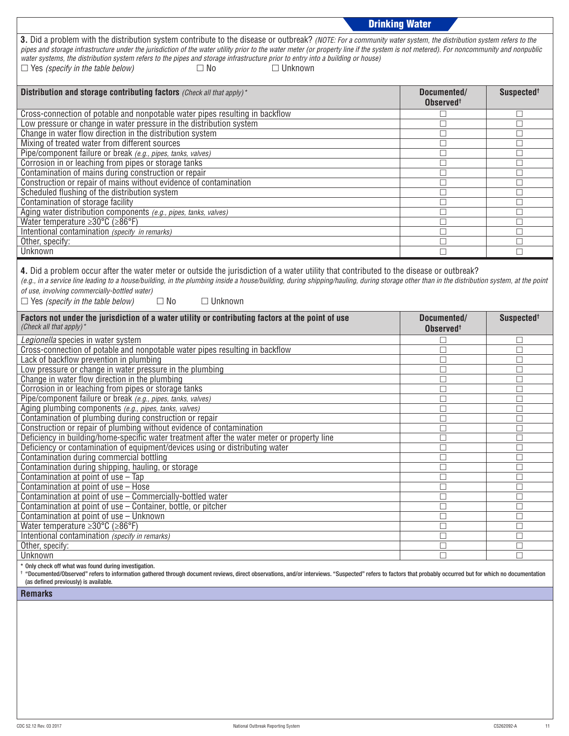|                                                                                                                                                                                                                                                                                                                                                                                                                                                                                                                                                                      | <b>Drinking Water</b>                |                        |  |  |  |  |  |
|----------------------------------------------------------------------------------------------------------------------------------------------------------------------------------------------------------------------------------------------------------------------------------------------------------------------------------------------------------------------------------------------------------------------------------------------------------------------------------------------------------------------------------------------------------------------|--------------------------------------|------------------------|--|--|--|--|--|
| 3. Did a problem with the distribution system contribute to the disease or outbreak? (NOTE: For a community water system, the distribution system refers to the<br>pipes and storage infrastructure under the jurisdiction of the water utility prior to the water meter (or property line if the system is not metered). For noncommunity and nonpublic<br>water systems, the distribution system refers to the pipes and storage infrastructure prior to entry into a building or house)<br>$\Box$ Unknown<br>$\Box$ Yes (specify in the table below)<br>$\Box$ No |                                      |                        |  |  |  |  |  |
| Distribution and storage contributing factors (Check all that apply)*                                                                                                                                                                                                                                                                                                                                                                                                                                                                                                | Documented/<br>Observed <sup>+</sup> | Suspected <sup>+</sup> |  |  |  |  |  |
| Cross-connection of potable and nonpotable water pipes resulting in backflow                                                                                                                                                                                                                                                                                                                                                                                                                                                                                         | □                                    | $\Box$                 |  |  |  |  |  |
| Low pressure or change in water pressure in the distribution system                                                                                                                                                                                                                                                                                                                                                                                                                                                                                                  | П                                    | □                      |  |  |  |  |  |
| Change in water flow direction in the distribution system                                                                                                                                                                                                                                                                                                                                                                                                                                                                                                            | П                                    | □                      |  |  |  |  |  |
| Mixing of treated water from different sources                                                                                                                                                                                                                                                                                                                                                                                                                                                                                                                       | □                                    | $\Box$                 |  |  |  |  |  |
| Pipe/component failure or break (e.g., pipes, tanks, valves)                                                                                                                                                                                                                                                                                                                                                                                                                                                                                                         | П                                    | $\Box$                 |  |  |  |  |  |
| Corrosion in or leaching from pipes or storage tanks                                                                                                                                                                                                                                                                                                                                                                                                                                                                                                                 | П                                    | □                      |  |  |  |  |  |
| Contamination of mains during construction or repair                                                                                                                                                                                                                                                                                                                                                                                                                                                                                                                 | □                                    | □                      |  |  |  |  |  |
| Construction or repair of mains without evidence of contamination                                                                                                                                                                                                                                                                                                                                                                                                                                                                                                    | □                                    | П                      |  |  |  |  |  |
| Scheduled flushing of the distribution system                                                                                                                                                                                                                                                                                                                                                                                                                                                                                                                        | □                                    | $\Box$                 |  |  |  |  |  |
| Contamination of storage facility                                                                                                                                                                                                                                                                                                                                                                                                                                                                                                                                    | П                                    | □                      |  |  |  |  |  |
| Aging water distribution components (e.g., pipes, tanks, valves)                                                                                                                                                                                                                                                                                                                                                                                                                                                                                                     | П                                    | $\Box$                 |  |  |  |  |  |
| Water temperature $\geq 30^{\circ}$ C ( $\geq 86^{\circ}$ F)                                                                                                                                                                                                                                                                                                                                                                                                                                                                                                         | П                                    | $\Box$                 |  |  |  |  |  |
| Intentional contamination (specify in remarks)                                                                                                                                                                                                                                                                                                                                                                                                                                                                                                                       | □                                    | $\Box$                 |  |  |  |  |  |
| Other, specify:                                                                                                                                                                                                                                                                                                                                                                                                                                                                                                                                                      | □                                    | □                      |  |  |  |  |  |
| <b>Unknown</b>                                                                                                                                                                                                                                                                                                                                                                                                                                                                                                                                                       | П                                    | П                      |  |  |  |  |  |
| (e.g., in a service line leading to a house/building, in the plumbing inside a house/building, during shipping/hauling, during storage other than in the distribution system, at the point<br>of use, involving commercially-bottled water)<br>$\Box$ Yes (specify in the table below)<br>$\square$ No<br>$\Box$ Unknown                                                                                                                                                                                                                                             |                                      |                        |  |  |  |  |  |
|                                                                                                                                                                                                                                                                                                                                                                                                                                                                                                                                                                      |                                      |                        |  |  |  |  |  |
| Factors not under the jurisdiction of a water utility or contributing factors at the point of use<br>(Check all that apply)*                                                                                                                                                                                                                                                                                                                                                                                                                                         | Documented/<br>Observed <sup>+</sup> | Suspected <sup>+</sup> |  |  |  |  |  |
| Legionella species in water system                                                                                                                                                                                                                                                                                                                                                                                                                                                                                                                                   | П                                    | □                      |  |  |  |  |  |
| Cross-connection of potable and nonpotable water pipes resulting in backflow                                                                                                                                                                                                                                                                                                                                                                                                                                                                                         | □                                    | □                      |  |  |  |  |  |
| Lack of backflow prevention in plumbing                                                                                                                                                                                                                                                                                                                                                                                                                                                                                                                              | □                                    | $\Box$                 |  |  |  |  |  |
| Low pressure or change in water pressure in the plumbing                                                                                                                                                                                                                                                                                                                                                                                                                                                                                                             | П                                    | □                      |  |  |  |  |  |
| Change in water flow direction in the plumbing                                                                                                                                                                                                                                                                                                                                                                                                                                                                                                                       | □                                    | П                      |  |  |  |  |  |
| Corrosion in or leaching from pipes or storage tanks                                                                                                                                                                                                                                                                                                                                                                                                                                                                                                                 | □                                    | $\Box$                 |  |  |  |  |  |
| Pipe/component failure or break (e.g., pipes, tanks, valves)                                                                                                                                                                                                                                                                                                                                                                                                                                                                                                         | П                                    | $\Box$                 |  |  |  |  |  |
| Aging plumbing components (e.g., pipes, tanks, valves)                                                                                                                                                                                                                                                                                                                                                                                                                                                                                                               | □                                    | □                      |  |  |  |  |  |
| Contamination of plumbing during construction or repair                                                                                                                                                                                                                                                                                                                                                                                                                                                                                                              | □                                    | □                      |  |  |  |  |  |
| Construction or repair of plumbing without evidence of contamination                                                                                                                                                                                                                                                                                                                                                                                                                                                                                                 | □                                    | □                      |  |  |  |  |  |
| Deficiency in building/home-specific water treatment after the water meter or property line                                                                                                                                                                                                                                                                                                                                                                                                                                                                          | $\Box$                               | $\Box$                 |  |  |  |  |  |
| Deficiency or contamination of equipment/devices using or distributing water                                                                                                                                                                                                                                                                                                                                                                                                                                                                                         | □                                    | □                      |  |  |  |  |  |
| Contamination during commercial bottling                                                                                                                                                                                                                                                                                                                                                                                                                                                                                                                             | П                                    | □                      |  |  |  |  |  |
| Contamination during shipping, hauling, or storage                                                                                                                                                                                                                                                                                                                                                                                                                                                                                                                   | □                                    | $\Box$                 |  |  |  |  |  |
| Contamination at point of use - Tap                                                                                                                                                                                                                                                                                                                                                                                                                                                                                                                                  | □<br>П                               | $\Box$                 |  |  |  |  |  |
| Contamination at point of use - Hose                                                                                                                                                                                                                                                                                                                                                                                                                                                                                                                                 | □                                    | $\Box$<br>$\Box$       |  |  |  |  |  |
| Contamination at point of use - Commercially-bottled water<br>Contamination at point of use - Container, bottle, or pitcher                                                                                                                                                                                                                                                                                                                                                                                                                                          | □                                    | $\Box$                 |  |  |  |  |  |
| Contamination at point of use - Unknown                                                                                                                                                                                                                                                                                                                                                                                                                                                                                                                              | □                                    | П                      |  |  |  |  |  |
| Water temperature $\geq 30^{\circ}$ C ( $\geq 86^{\circ}$ F)                                                                                                                                                                                                                                                                                                                                                                                                                                                                                                         | П                                    | $\Box$                 |  |  |  |  |  |
| Intentional contamination (specify in remarks)                                                                                                                                                                                                                                                                                                                                                                                                                                                                                                                       | П                                    | □                      |  |  |  |  |  |
| Other, specify:                                                                                                                                                                                                                                                                                                                                                                                                                                                                                                                                                      | □                                    | $\Box$                 |  |  |  |  |  |
| Unknown<br>* Only check off what was found during investigation.                                                                                                                                                                                                                                                                                                                                                                                                                                                                                                     | П                                    | $\Box$                 |  |  |  |  |  |

† "Documented/Observed" refers to information gathered through document reviews, direct observations, and/or interviews. "Suspected" refers to factors that probably occurred but for which no documentation (as defined previously) is available.

**Remarks**